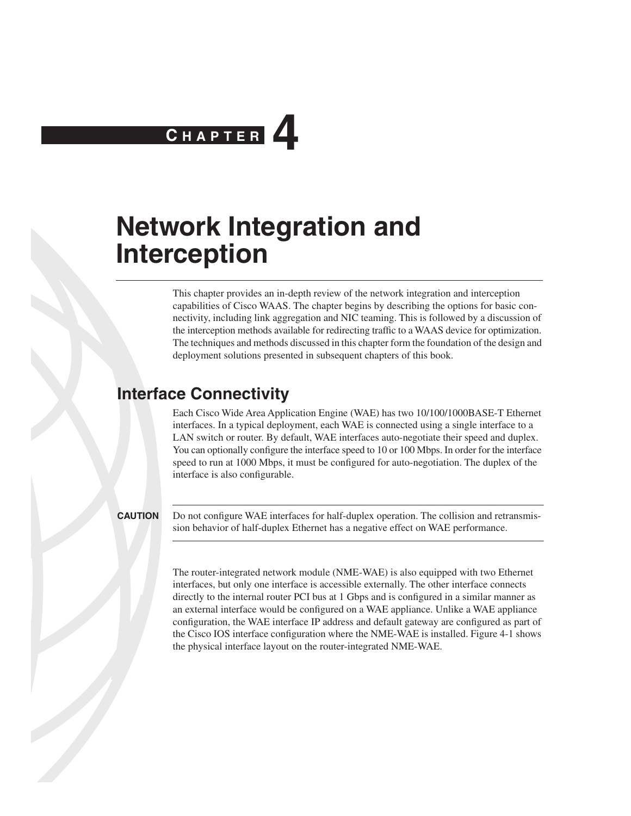# $CHAPTER$  4

## **Network Integration and Interception**

This chapter provides an in-depth review of the network integration and interception capabilities of Cisco WAAS. The chapter begins by describing the options for basic connectivity, including link aggregation and NIC teaming. This is followed by a discussion of the interception methods available for redirecting traffic to a WAAS device for optimization. The techniques and methods discussed in this chapter form the foundation of the design and deployment solutions presented in subsequent chapters of this book.

## **Interface Connectivity**

Each Cisco Wide Area Application Engine (WAE) has two 10/100/1000BASE-T Ethernet interfaces. In a typical deployment, each WAE is connected using a single interface to a LAN switch or router. By default, WAE interfaces auto-negotiate their speed and duplex. You can optionally configure the interface speed to 10 or 100 Mbps. In order for the interface speed to run at 1000 Mbps, it must be configured for auto-negotiation. The duplex of the interface is also configurable.

**CAUTION** Do not configure WAE interfaces for half-duplex operation. The collision and retransmission behavior of half-duplex Ethernet has a negative effect on WAE performance.

> The router-integrated network module (NME-WAE) is also equipped with two Ethernet interfaces, but only one interface is accessible externally. The other interface connects directly to the internal router PCI bus at 1 Gbps and is configured in a similar manner as an external interface would be configured on a WAE appliance. Unlike a WAE appliance configuration, the WAE interface IP address and default gateway are configured as part of the Cisco IOS interface configuration where the NME-WAE is installed. Figure 4-1 shows the physical interface layout on the router-integrated NME-WAE.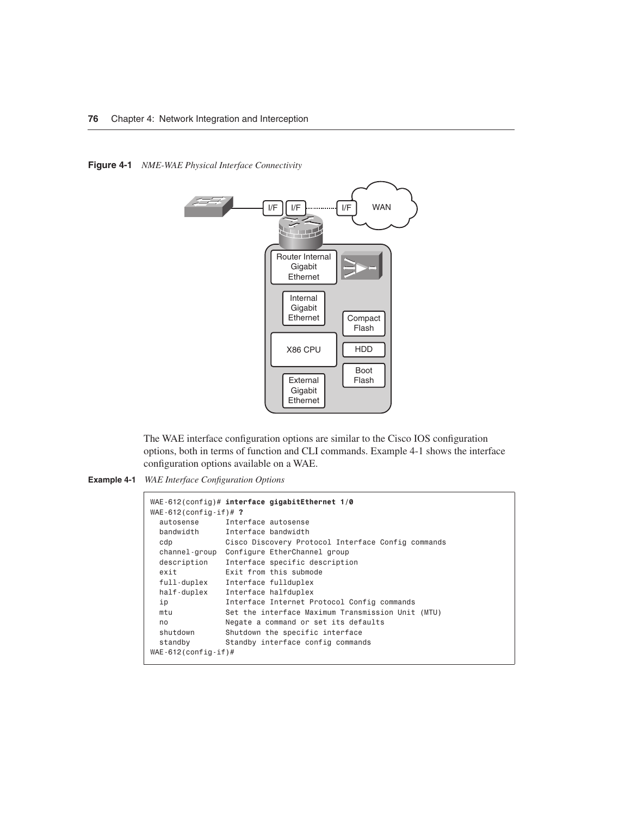

**Figure 4-1** *NME-WAE Physical Interface Connectivity*

The WAE interface configuration options are similar to the Cisco IOS configuration options, both in terms of function and CLI commands. Example 4-1 shows the interface configuration options available on a WAE.

**Example 4-1** *WAE Interface Configuration Options* 

```
WAE-612(config)# interface gigabitEthernet 1/0
WAE-612(config-if)# ?
  autosense Interface autosense
  bandwidth Interface bandwidth
  cdp Cisco Discovery Protocol Interface Config commands
  channel-group Configure EtherChannel group
  description Interface specific description
  exit Exit from this submode
  full-duplex Interface fullduplex
  half-duplex Interface halfduplex
  ip Interface Internet Protocol Config commands
  mtu Set the interface Maximum Transmission Unit (MTU)
  no Negate a command or set its defaults
  shutdown Shutdown the specific interface
  standby Standby interface config commands
WAE-612(config-if)#
```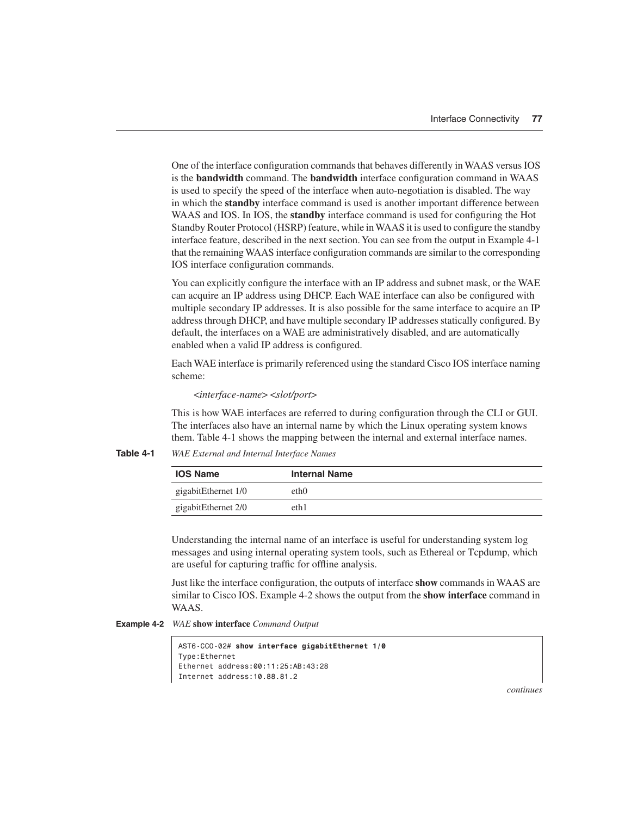One of the interface configuration commands that behaves differently in WAAS versus IOS is the **bandwidth** command. The **bandwidth** interface configuration command in WAAS is used to specify the speed of the interface when auto-negotiation is disabled. The way in which the **standby** interface command is used is another important difference between WAAS and IOS. In IOS, the **standby** interface command is used for configuring the Hot Standby Router Protocol (HSRP) feature, while in WAAS it is used to configure the standby interface feature, described in the next section. You can see from the output in Example 4-1 that the remaining WAAS interface configuration commands are similar to the corresponding IOS interface configuration commands.

You can explicitly configure the interface with an IP address and subnet mask, or the WAE can acquire an IP address using DHCP. Each WAE interface can also be configured with multiple secondary IP addresses. It is also possible for the same interface to acquire an IP address through DHCP, and have multiple secondary IP addresses statically configured. By default, the interfaces on a WAE are administratively disabled, and are automatically enabled when a valid IP address is configured.

Each WAE interface is primarily referenced using the standard Cisco IOS interface naming scheme:

<*interface-name*> <*slot/port*>

This is how WAE interfaces are referred to during configuration through the CLI or GUI. The interfaces also have an internal name by which the Linux operating system knows them. Table 4-1 shows the mapping between the internal and external interface names.

**Table 4-1** *WAE External and Internal Interface Names*

| <b>IOS Name</b>     | <b>Internal Name</b> |
|---------------------|----------------------|
| gigabitEthernet 1/0 | eth0                 |
| gigabitEthernet 2/0 | eth1                 |

Understanding the internal name of an interface is useful for understanding system log messages and using internal operating system tools, such as Ethereal or Tcpdump, which are useful for capturing traffic for offline analysis.

Just like the interface configuration, the outputs of interface **show** commands in WAAS are similar to Cisco IOS. Example 4-2 shows the output from the **show interface** command in WAAS.

**Example 4-2** *WAE* **show interface** *Command Output* 

```
AST6-CCO-02# show interface gigabitEthernet 1/0
Type:Ethernet
Ethernet address:00:11:25:AB:43:28
Internet address:10.88.81.2
```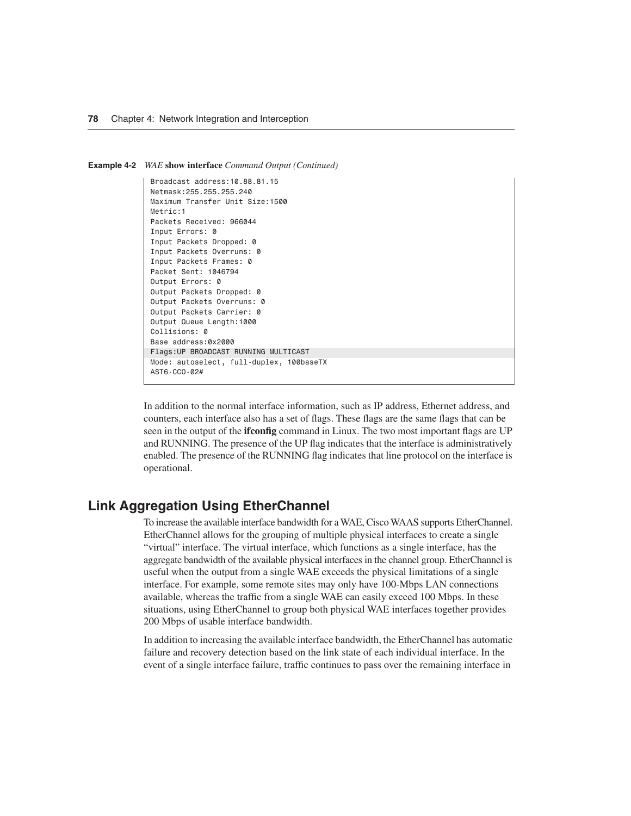```
Example 4-2 WAE show interface Command Output (Continued)
```

```
Broadcast address:10.88.81.15
Netmask:255.255.255.240
Maximum Transfer Unit Size:1500
Metric:1
Packets Received: 966044
Input Errors: 0
Input Packets Dropped: 0
Input Packets Overruns: 0
Input Packets Frames: 0
Packet Sent: 1046794
Output Errors: 0
Output Packets Dropped: 0
Output Packets Overruns: 0
Output Packets Carrier: 0
Output Queue Length:1000
Collisions: 0
Base address:0x2000
Flags:UP BROADCAST RUNNING MULTICAST 
Mode: autoselect, full-duplex, 100baseTX
AST6-CCO-02#
```
In addition to the normal interface information, such as IP address, Ethernet address, and counters, each interface also has a set of flags. These flags are the same flags that can be seen in the output of the **ifconfig** command in Linux. The two most important flags are UP and RUNNING. The presence of the UP flag indicates that the interface is administratively enabled. The presence of the RUNNING flag indicates that line protocol on the interface is operational.

#### **Link Aggregation Using EtherChannel**

To increase the available interface bandwidth for a WAE, Cisco WAAS supports EtherChannel. EtherChannel allows for the grouping of multiple physical interfaces to create a single "virtual" interface. The virtual interface, which functions as a single interface, has the aggregate bandwidth of the available physical interfaces in the channel group. EtherChannel is useful when the output from a single WAE exceeds the physical limitations of a single interface. For example, some remote sites may only have 100-Mbps LAN connections available, whereas the traffic from a single WAE can easily exceed 100 Mbps. In these situations, using EtherChannel to group both physical WAE interfaces together provides 200 Mbps of usable interface bandwidth.

In addition to increasing the available interface bandwidth, the EtherChannel has automatic failure and recovery detection based on the link state of each individual interface. In the event of a single interface failure, traffic continues to pass over the remaining interface in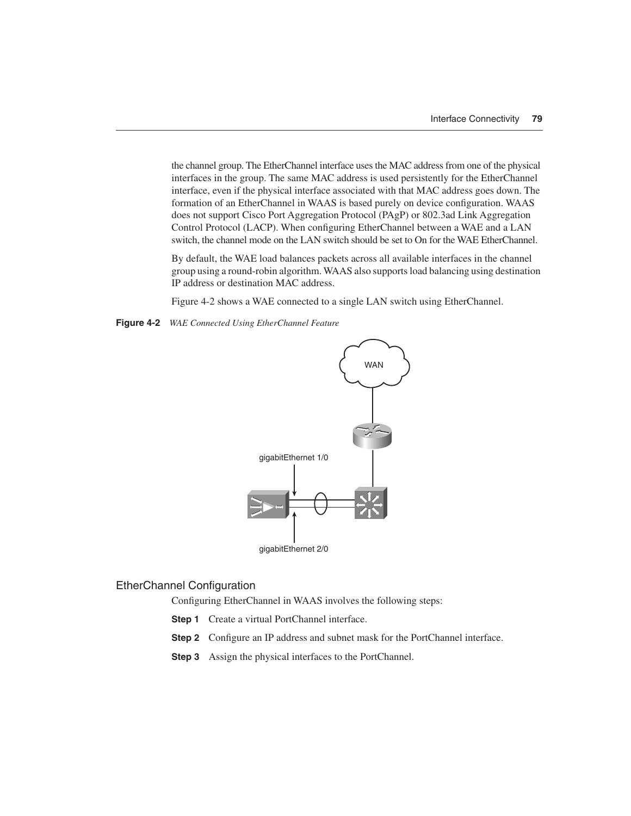the channel group. The EtherChannel interface uses the MAC address from one of the physical interfaces in the group. The same MAC address is used persistently for the EtherChannel interface, even if the physical interface associated with that MAC address goes down. The formation of an EtherChannel in WAAS is based purely on device configuration. WAAS does not support Cisco Port Aggregation Protocol (PAgP) or 802.3ad Link Aggregation Control Protocol (LACP). When configuring EtherChannel between a WAE and a LAN switch, the channel mode on the LAN switch should be set to On for the WAE EtherChannel.

By default, the WAE load balances packets across all available interfaces in the channel group using a round-robin algorithm. WAAS also supports load balancing using destination IP address or destination MAC address.

Figure 4-2 shows a WAE connected to a single LAN switch using EtherChannel.





#### EtherChannel Configuration

Configuring EtherChannel in WAAS involves the following steps:

- **Step 1** Create a virtual PortChannel interface.
- **Step 2** Configure an IP address and subnet mask for the PortChannel interface.
- **Step 3** Assign the physical interfaces to the PortChannel.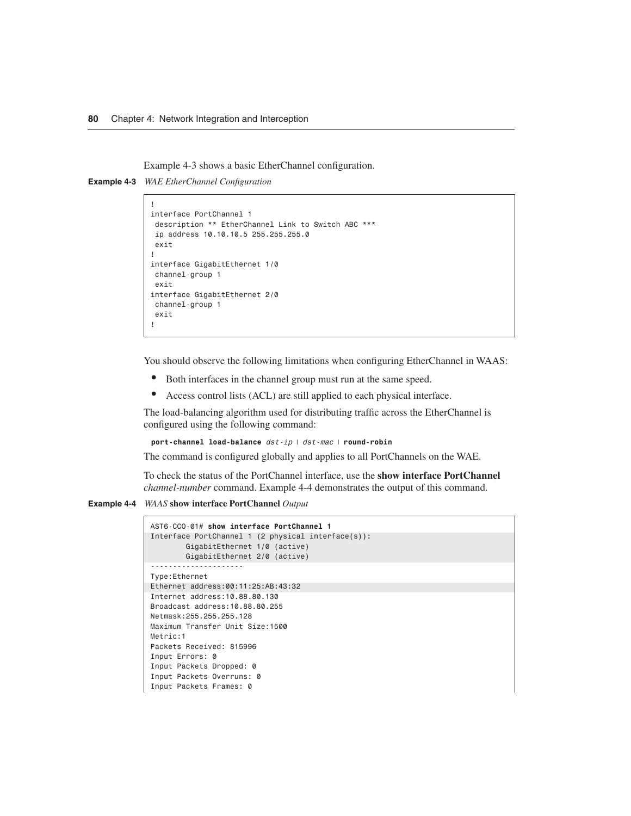Example 4-3 shows a basic EtherChannel configuration.

**Example 4-3** *WAE EtherChannel Configuration*

```
!
interface PortChannel 1
  description ** EtherChannel Link to Switch ABC ***
 ip address 10.10.10.5 255.255.255.0
 exit
!
interface GigabitEthernet 1/0
 channel-group 1
 exit
interface GigabitEthernet 2/0
 channel-group 1
  exit
!
```
You should observe the following limitations when configuring EtherChannel in WAAS:

- Both interfaces in the channel group must run at the same speed.
- Access control lists (ACL) are still applied to each physical interface.

The load-balancing algorithm used for distributing traffic across the EtherChannel is configured using the following command:

*port-channel load-balance dst-ip* | *dst-mac* | *round-robin*

The command is configured globally and applies to all PortChannels on the WAE.

To check the status of the PortChannel interface, use the **show interface PortChannel**  *channel-number* command. Example 4-4 demonstrates the output of this command.

**Example 4-4** *WAAS* **show interface PortChannel** *Output* 

```
AST6-CCO-01# show interface PortChannel 1
Interface PortChannel 1 (2 physical interface(s)):
         GigabitEthernet 1/0 (active)
         GigabitEthernet 2/0 (active)
---------------------
Type:Ethernet
Ethernet address:00:11:25:AB:43:32
Internet address:10.88.80.130
Broadcast address:10.88.80.255
Netmask:255.255.255.128
Maximum Transfer Unit Size:1500
Metric:1
Packets Received: 815996
Input Errors: 0
Input Packets Dropped: 0
Input Packets Overruns: 0
Input Packets Frames: 0
```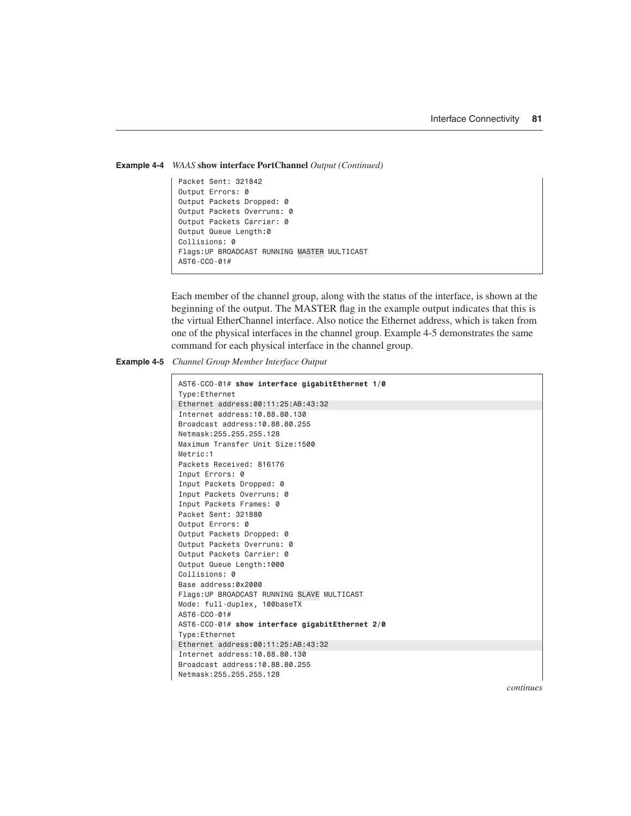#### **Example 4-4** *WAAS* **show interface PortChannel** *Output (Continued)*

```
Packet Sent: 321842
Output Errors: 0
Output Packets Dropped: 0
Output Packets Overruns: 0
Output Packets Carrier: 0
Output Queue Length:0
Collisions: 0
Flags:UP BROADCAST RUNNING MASTER MULTICAST 
MASTER
AST6-CCO-01#
```
Each member of the channel group, along with the status of the interface, is shown at the beginning of the output. The MASTER flag in the example output indicates that this is the virtual EtherChannel interface. Also notice the Ethernet address, which is taken from one of the physical interfaces in the channel group. Example 4-5 demonstrates the same command for each physical interface in the channel group.

**Example 4-5** *Channel Group Member Interface Output* 

```
AST6-CCO-01# show interface gigabitEthernet 1/0
Type:Ethernet
Ethernet address:00:11:25:AB:43:32
Internet address:10.88.80.130
Broadcast address:10.88.80.255
Netmask:255.255.255.128
Maximum Transfer Unit Size:1500
Metric:1
Packets Received: 816176
Input Errors: 0
Input Packets Dropped: 0
Input Packets Overruns: 0
Input Packets Frames: 0
Packet Sent: 321880
Output Errors: 0
Output Packets Dropped: 0
Output Packets Overruns: 0
Output Packets Carrier: 0
Output Queue Length:1000
Collisions: 0
Base address:0x2000
Flags:UP BROADCAST RUNNING SLAVE MULTICAST 
SLAVEMode: full-duplex, 100baseTX
AST6-CCO-01#
AST6-CCO-01# show interface gigabitEthernet 2/0
Type:Ethernet
Ethernet address:00:11:25:AB:43:32
Internet address:10.88.80.130
Broadcast address:10.88.80.255
Netmask:255.255.255.128
```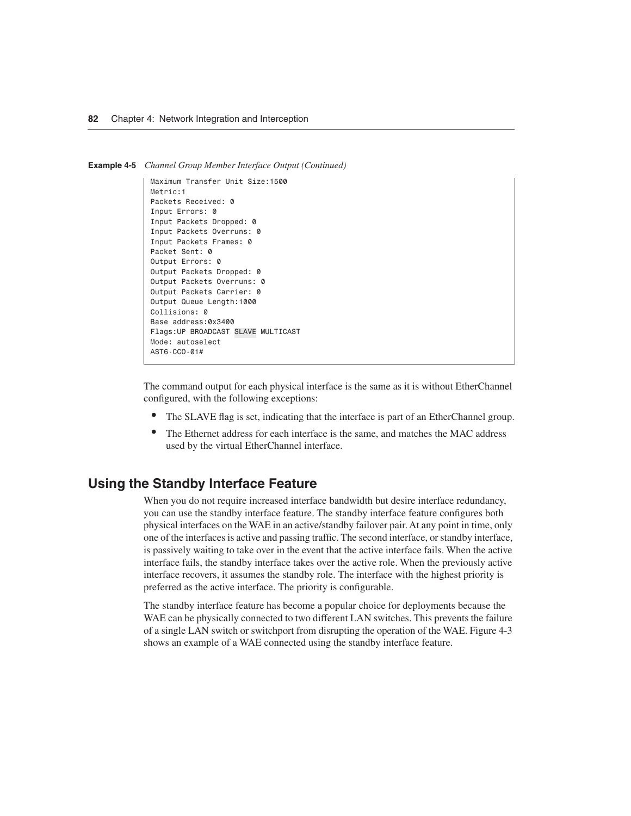**Example 4-5** *Channel Group Member Interface Output (Continued)*

*Maximum Transfer Unit Size:1500 Metric:1 Packets Received: 0 Input Errors: 0 Input Packets Dropped: 0 Input Packets Overruns: 0 Input Packets Frames: 0 Packet Sent: 0 Output Errors: 0 Output Packets Dropped: 0 Output Packets Overruns: 0 Output Packets Carrier: 0 Output Queue Length:1000 Collisions: 0 Base address:0x3400 Flags:UP BROADCAST SLAVE MULTICAST SLAVEMode: autoselect AST6-CCO-01#*

The command output for each physical interface is the same as it is without EtherChannel configured, with the following exceptions:

- The SLAVE flag is set, indicating that the interface is part of an EtherChannel group.
- The Ethernet address for each interface is the same, and matches the MAC address used by the virtual EtherChannel interface.

#### **Using the Standby Interface Feature**

When you do not require increased interface bandwidth but desire interface redundancy, you can use the standby interface feature. The standby interface feature configures both physical interfaces on the WAE in an active/standby failover pair. At any point in time, only one of the interfaces is active and passing traffic. The second interface, or standby interface, is passively waiting to take over in the event that the active interface fails. When the active interface fails, the standby interface takes over the active role. When the previously active interface recovers, it assumes the standby role. The interface with the highest priority is preferred as the active interface. The priority is configurable.

The standby interface feature has become a popular choice for deployments because the WAE can be physically connected to two different LAN switches. This prevents the failure of a single LAN switch or switchport from disrupting the operation of the WAE. Figure 4-3 shows an example of a WAE connected using the standby interface feature.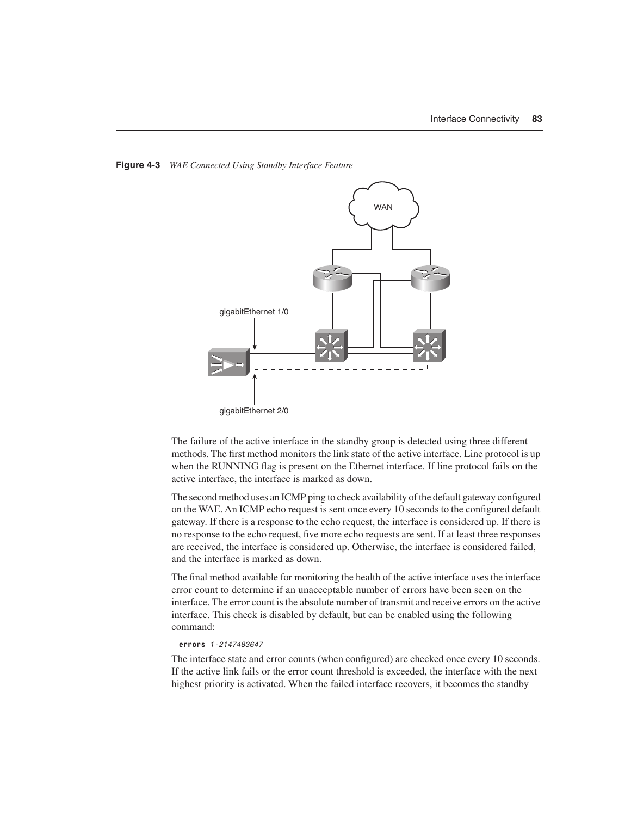

#### **Figure 4-3** *WAE Connected Using Standby Interface Feature*

The failure of the active interface in the standby group is detected using three different methods. The first method monitors the link state of the active interface. Line protocol is up when the RUNNING flag is present on the Ethernet interface. If line protocol fails on the active interface, the interface is marked as down.

The second method uses an ICMP ping to check availability of the default gateway configured on the WAE. An ICMP echo request is sent once every 10 seconds to the configured default gateway. If there is a response to the echo request, the interface is considered up. If there is no response to the echo request, five more echo requests are sent. If at least three responses are received, the interface is considered up. Otherwise, the interface is considered failed, and the interface is marked as down.

The final method available for monitoring the health of the active interface uses the interface error count to determine if an unacceptable number of errors have been seen on the interface. The error count is the absolute number of transmit and receive errors on the active interface. This check is disabled by default, but can be enabled using the following command:

#### *errors 1-2147483647*

The interface state and error counts (when configured) are checked once every 10 seconds. If the active link fails or the error count threshold is exceeded, the interface with the next highest priority is activated. When the failed interface recovers, it becomes the standby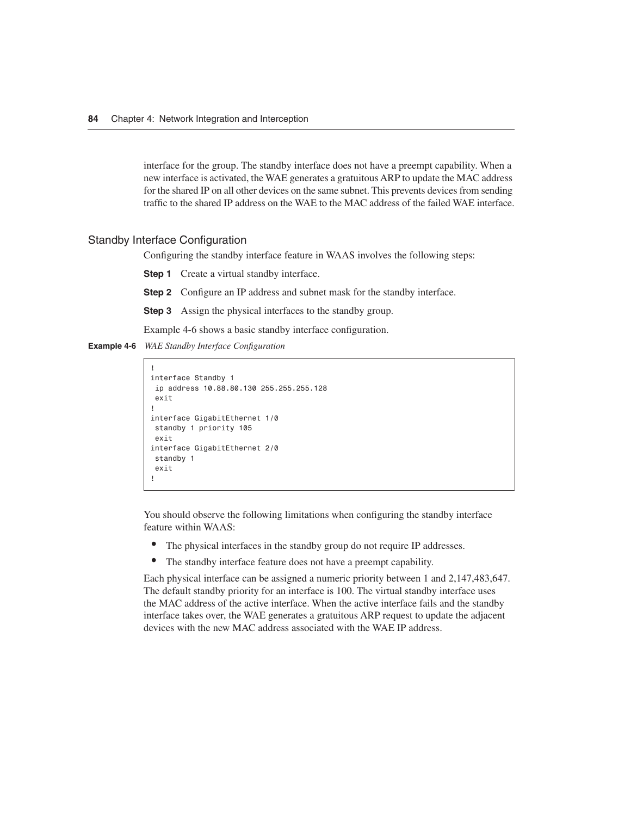interface for the group. The standby interface does not have a preempt capability. When a new interface is activated, the WAE generates a gratuitous ARP to update the MAC address for the shared IP on all other devices on the same subnet. This prevents devices from sending traffic to the shared IP address on the WAE to the MAC address of the failed WAE interface.

#### Standby Interface Configuration

Configuring the standby interface feature in WAAS involves the following steps:

**Step 1** Create a virtual standby interface.

**Step 2** Configure an IP address and subnet mask for the standby interface.

**Step 3** Assign the physical interfaces to the standby group.

Example 4-6 shows a basic standby interface configuration.

**Example 4-6** *WAE Standby Interface Configuration*

```
!
interface Standby 1
  ip address 10.88.80.130 255.255.255.128
  exit
!
interface GigabitEthernet 1/0
 standby 1 priority 105
 exit
interface GigabitEthernet 2/0
  standby 1
  exit
!
```
You should observe the following limitations when configuring the standby interface feature within WAAS:

- The physical interfaces in the standby group do not require IP addresses.
- The standby interface feature does not have a preempt capability.

Each physical interface can be assigned a numeric priority between 1 and 2,147,483,647. The default standby priority for an interface is 100. The virtual standby interface uses the MAC address of the active interface. When the active interface fails and the standby interface takes over, the WAE generates a gratuitous ARP request to update the adjacent devices with the new MAC address associated with the WAE IP address.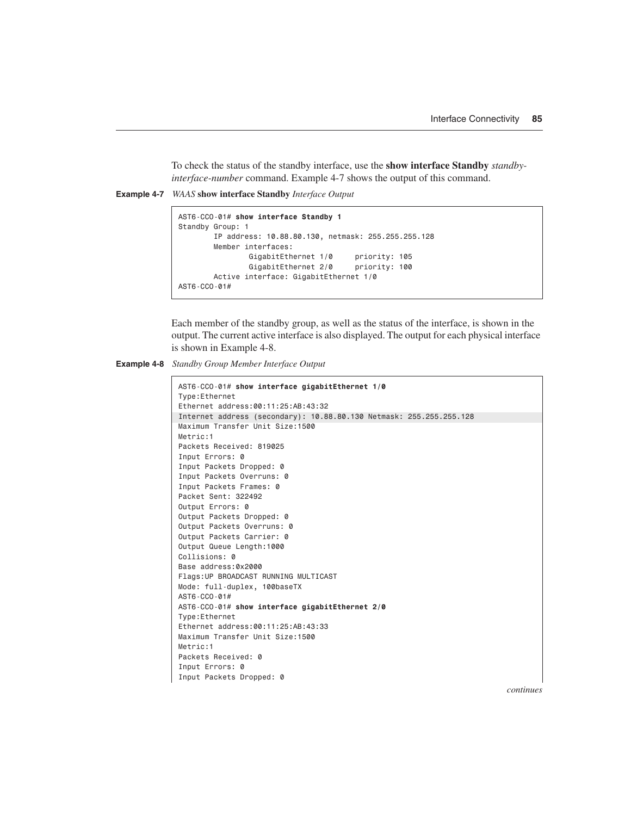To check the status of the standby interface, use the **show interface Standby** *standbyinterface-number* command. Example 4-7 shows the output of this command.

```
Example 4-7 WAAS show interface Standby Interface Output
```

```
AST6-CCO-01# show interface Standby 1
Standby Group: 1
         IP address: 10.88.80.130, netmask: 255.255.255.128
         Member interfaces: 
                 GigabitEthernet 1/0 priority: 105
                 GigabitEthernet 2/0 priority: 100
         Active interface: GigabitEthernet 1/0
AST6-CCO-01#
```
Each member of the standby group, as well as the status of the interface, is shown in the output. The current active interface is also displayed. The output for each physical interface is shown in Example 4-8.

**Example 4-8** *Standby Group Member Interface Output* 

```
AST6-CCO-01# show interface gigabitEthernet 1/0
Type:Ethernet
Ethernet address:00:11:25:AB:43:32
Internet address (secondary): 10.88.80.130 Netmask: 255.255.255.128
Maximum Transfer Unit Size:1500
Metric:1
Packets Received: 819025
Input Errors: 0
Input Packets Dropped: 0
Input Packets Overruns: 0
Input Packets Frames: 0
Packet Sent: 322492
Output Errors: 0
Output Packets Dropped: 0
Output Packets Overruns: 0
Output Packets Carrier: 0
Output Queue Length:1000
Collisions: 0
Base address:0x2000
Flags:UP BROADCAST RUNNING MULTICAST 
Mode: full-duplex, 100baseTX
AST6-CCO-01#
AST6-CCO-01# show interface gigabitEthernet 2/0
Type:Ethernet
Ethernet address:00:11:25:AB:43:33
Maximum Transfer Unit Size:1500
Metric:1
Packets Received: 0
Input Errors: 0
Input Packets Dropped: 0
```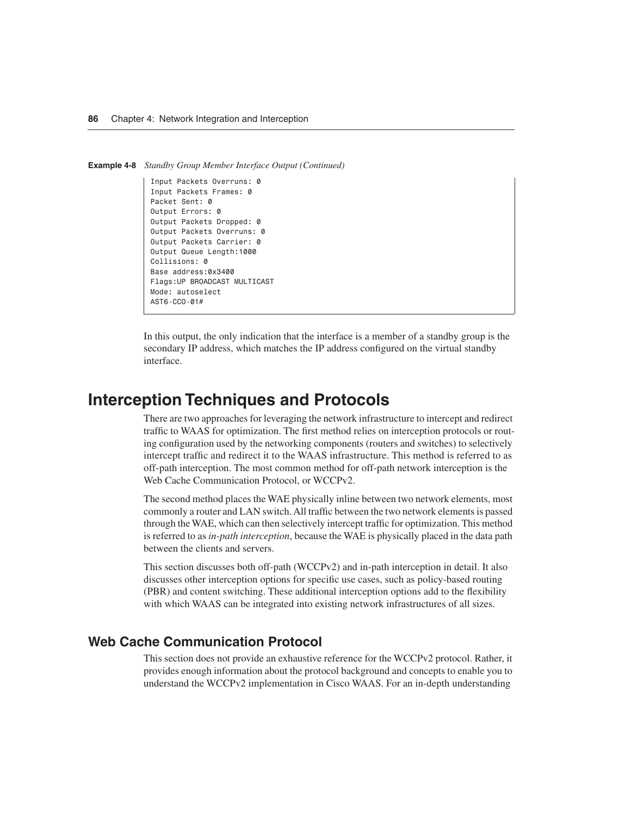**Example 4-8** *Standby Group Member Interface Output (Continued)*

```
Input Packets Overruns: 0
Input Packets Frames: 0
Packet Sent: 0
Output Errors: 0
Output Packets Dropped: 0
Output Packets Overruns: 0
Output Packets Carrier: 0
Output Queue Length:1000
Collisions: 0
Base address:0x3400
Flags:UP BROADCAST MULTICAST 
Mode: autoselect
AST6-CCO-01#
```
In this output, the only indication that the interface is a member of a standby group is the secondary IP address, which matches the IP address configured on the virtual standby interface.

## **Interception Techniques and Protocols**

There are two approaches for leveraging the network infrastructure to intercept and redirect traffic to WAAS for optimization. The first method relies on interception protocols or routing configuration used by the networking components (routers and switches) to selectively intercept traffic and redirect it to the WAAS infrastructure. This method is referred to as off-path interception. The most common method for off-path network interception is the Web Cache Communication Protocol, or WCCPv2.

The second method places the WAE physically inline between two network elements, most commonly a router and LAN switch. All traffic between the two network elements is passed through the WAE, which can then selectively intercept traffic for optimization. This method is referred to as *in-path interception*, because the WAE is physically placed in the data path between the clients and servers.

This section discusses both off-path (WCCPv2) and in-path interception in detail. It also discusses other interception options for specific use cases, such as policy-based routing (PBR) and content switching. These additional interception options add to the flexibility with which WAAS can be integrated into existing network infrastructures of all sizes.

### **Web Cache Communication Protocol**

This section does not provide an exhaustive reference for the WCCPv2 protocol. Rather, it provides enough information about the protocol background and concepts to enable you to understand the WCCPv2 implementation in Cisco WAAS. For an in-depth understanding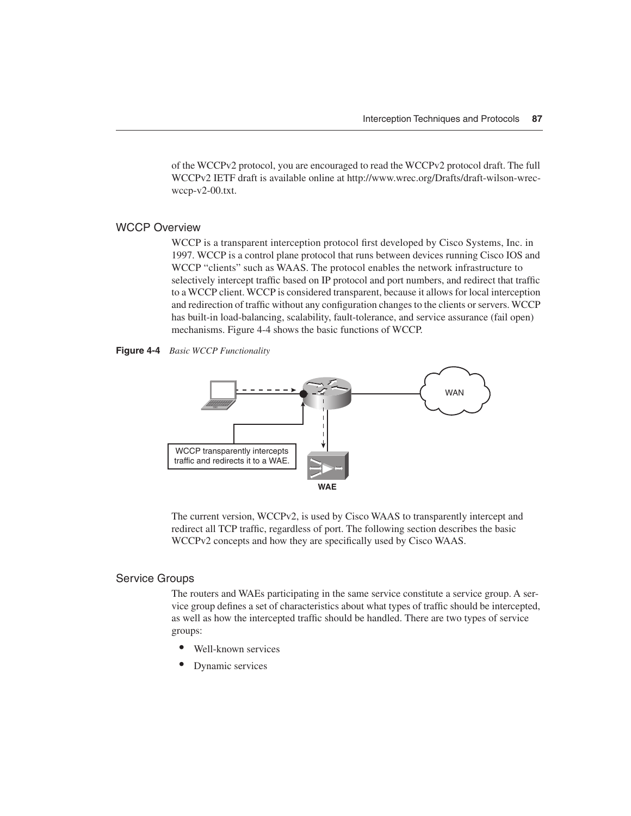of the WCCPv2 protocol, you are encouraged to read the WCCPv2 protocol draft. The full WCCPv2 IETF draft is available online at http://www.wrec.org/Drafts/draft-wilson-wrecwccp-v2-00.txt.

#### WCCP Overview

WCCP is a transparent interception protocol first developed by Cisco Systems, Inc. in 1997. WCCP is a control plane protocol that runs between devices running Cisco IOS and WCCP "clients" such as WAAS. The protocol enables the network infrastructure to selectively intercept traffic based on IP protocol and port numbers, and redirect that traffic to a WCCP client. WCCP is considered transparent, because it allows for local interception and redirection of traffic without any configuration changes to the clients or servers. WCCP has built-in load-balancing, scalability, fault-tolerance, and service assurance (fail open) mechanisms. Figure 4-4 shows the basic functions of WCCP.





The current version, WCCPv2, is used by Cisco WAAS to transparently intercept and redirect all TCP traffic, regardless of port. The following section describes the basic WCCPv2 concepts and how they are specifically used by Cisco WAAS.

#### Service Groups

The routers and WAEs participating in the same service constitute a service group. A service group defines a set of characteristics about what types of traffic should be intercepted, as well as how the intercepted traffic should be handled. There are two types of service groups:

- Well-known services
- Dynamic services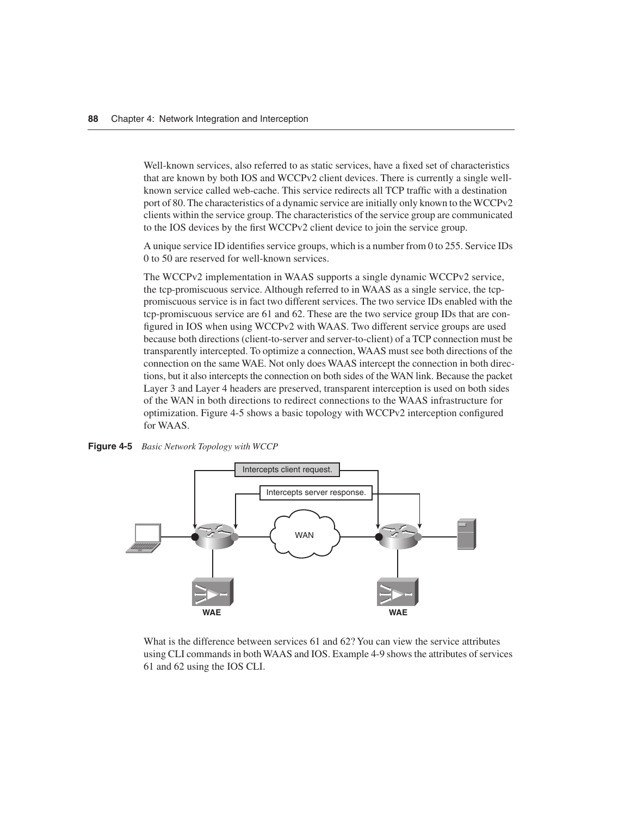Well-known services, also referred to as static services, have a fixed set of characteristics that are known by both IOS and WCCPv2 client devices. There is currently a single wellknown service called web-cache. This service redirects all TCP traffic with a destination port of 80. The characteristics of a dynamic service are initially only known to the WCCPv2 clients within the service group. The characteristics of the service group are communicated to the IOS devices by the first WCCPv2 client device to join the service group.

A unique service ID identifies service groups, which is a number from 0 to 255. Service IDs 0 to 50 are reserved for well-known services.

The WCCPv2 implementation in WAAS supports a single dynamic WCCPv2 service, the tcp-promiscuous service. Although referred to in WAAS as a single service, the tcppromiscuous service is in fact two different services. The two service IDs enabled with the tcp-promiscuous service are 61 and 62. These are the two service group IDs that are configured in IOS when using WCCPv2 with WAAS. Two different service groups are used because both directions (client-to-server and server-to-client) of a TCP connection must be transparently intercepted. To optimize a connection, WAAS must see both directions of the connection on the same WAE. Not only does WAAS intercept the connection in both directions, but it also intercepts the connection on both sides of the WAN link. Because the packet Layer 3 and Layer 4 headers are preserved, transparent interception is used on both sides of the WAN in both directions to redirect connections to the WAAS infrastructure for optimization. Figure 4-5 shows a basic topology with WCCPv2 interception configured for WAAS.





What is the difference between services 61 and 62? You can view the service attributes using CLI commands in both WAAS and IOS. Example 4-9 shows the attributes of services 61 and 62 using the IOS CLI.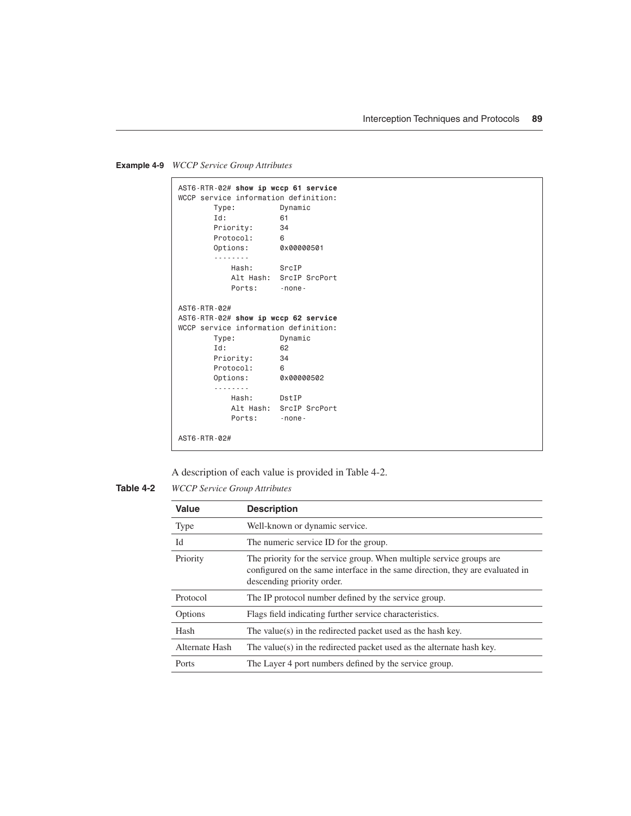```
AST6-RTR-02# show ip wccp 61 service
WCCP service information definition:
      Type: Dynamic
 Id: 61
 Priority: 34
 Protocol: 6
 Options: 0x00000501
       --------
          Hash: SrcIP 
          Alt Hash: SrcIP SrcPort 
          Ports: -none-
AST6-RTR-02#
AST6-RTR-02# show ip wccp 62 service
WCCP service information definition:
      Type: Dynamic
 Id: 62
 Priority: 34
 Protocol: 6
 Options: 0x00000502
       --------
         Hash: DstIP 
          Alt Hash: SrcIP SrcPort 
          Ports: -none-
AST6-RTR-02#
```
**Example 4-9** *WCCP Service Group Attributes* 

A description of each value is provided in Table 4-2.

**Table 4-2** *WCCP Service Group Attributes*

| <b>Value</b>   | <b>Description</b>                                                                                                                                                                  |  |
|----------------|-------------------------------------------------------------------------------------------------------------------------------------------------------------------------------------|--|
| Type           | Well-known or dynamic service.                                                                                                                                                      |  |
| Id             | The numeric service ID for the group.                                                                                                                                               |  |
| Priority       | The priority for the service group. When multiple service groups are<br>configured on the same interface in the same direction, they are evaluated in<br>descending priority order. |  |
| Protocol       | The IP protocol number defined by the service group.                                                                                                                                |  |
| Options        | Flags field indicating further service characteristics.                                                                                                                             |  |
| Hash           | The value(s) in the redirected packet used as the hash key.                                                                                                                         |  |
| Alternate Hash | The value(s) in the redirected packet used as the alternate hash key.                                                                                                               |  |
| Ports          | The Layer 4 port numbers defined by the service group.                                                                                                                              |  |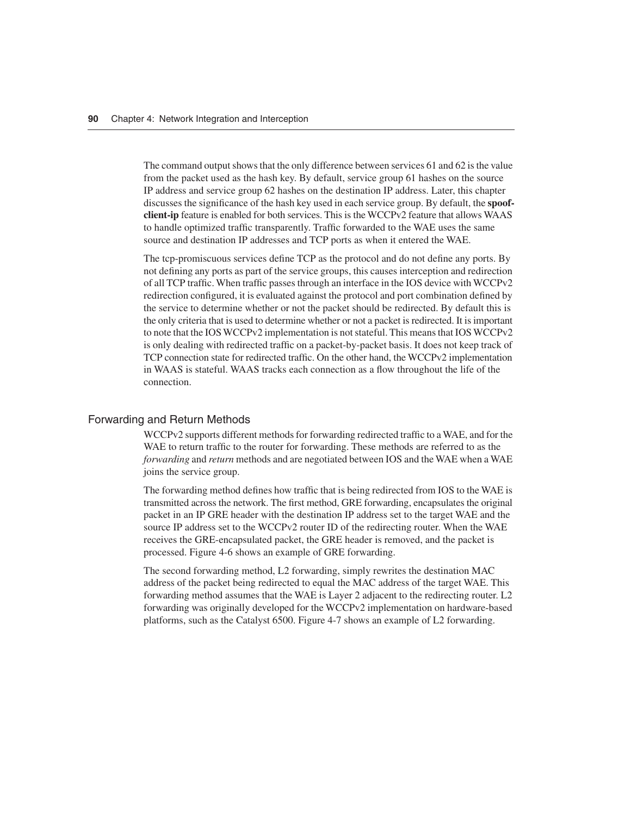The command output shows that the only difference between services 61 and 62 is the value from the packet used as the hash key. By default, service group 61 hashes on the source IP address and service group 62 hashes on the destination IP address. Later, this chapter discusses the significance of the hash key used in each service group. By default, the **spoofclient-ip** feature is enabled for both services. This is the WCCPv2 feature that allows WAAS to handle optimized traffic transparently. Traffic forwarded to the WAE uses the same source and destination IP addresses and TCP ports as when it entered the WAE.

The tcp-promiscuous services define TCP as the protocol and do not define any ports. By not defining any ports as part of the service groups, this causes interception and redirection of all TCP traffic. When traffic passes through an interface in the IOS device with WCCPv2 redirection configured, it is evaluated against the protocol and port combination defined by the service to determine whether or not the packet should be redirected. By default this is the only criteria that is used to determine whether or not a packet is redirected. It is important to note that the IOS WCCPv2 implementation is not stateful. This means that IOS WCCPv2 is only dealing with redirected traffic on a packet-by-packet basis. It does not keep track of TCP connection state for redirected traffic. On the other hand, the WCCPv2 implementation in WAAS is stateful. WAAS tracks each connection as a flow throughout the life of the connection.

#### Forwarding and Return Methods

WCCPv2 supports different methods for forwarding redirected traffic to a WAE, and for the WAE to return traffic to the router for forwarding. These methods are referred to as the *forwarding* and *return* methods and are negotiated between IOS and the WAE when a WAE joins the service group.

The forwarding method defines how traffic that is being redirected from IOS to the WAE is transmitted across the network. The first method, GRE forwarding, encapsulates the original packet in an IP GRE header with the destination IP address set to the target WAE and the source IP address set to the WCCPv2 router ID of the redirecting router. When the WAE receives the GRE-encapsulated packet, the GRE header is removed, and the packet is processed. Figure 4-6 shows an example of GRE forwarding.

The second forwarding method, L2 forwarding, simply rewrites the destination MAC address of the packet being redirected to equal the MAC address of the target WAE. This forwarding method assumes that the WAE is Layer 2 adjacent to the redirecting router. L2 forwarding was originally developed for the WCCPv2 implementation on hardware-based platforms, such as the Catalyst 6500. Figure 4-7 shows an example of L2 forwarding.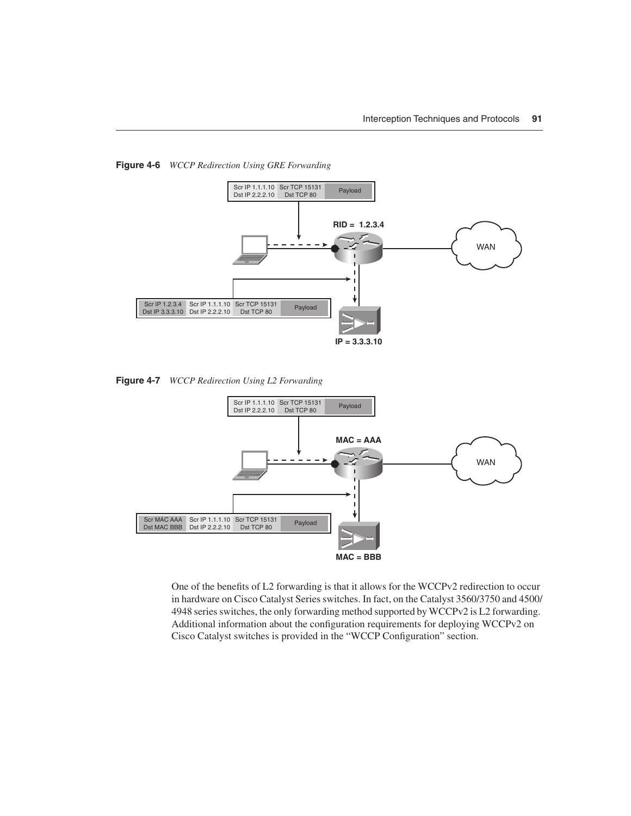

**Figure 4-6** *WCCP Redirection Using GRE Forwarding*

**Figure 4-7** *WCCP Redirection Using L2 Forwarding*



One of the benefits of L2 forwarding is that it allows for the WCCPv2 redirection to occur in hardware on Cisco Catalyst Series switches. In fact, on the Catalyst 3560/3750 and 4500/ 4948 series switches, the only forwarding method supported by WCCPv2 is L2 forwarding. Additional information about the configuration requirements for deploying WCCPv2 on Cisco Catalyst switches is provided in the "WCCP Configuration" section.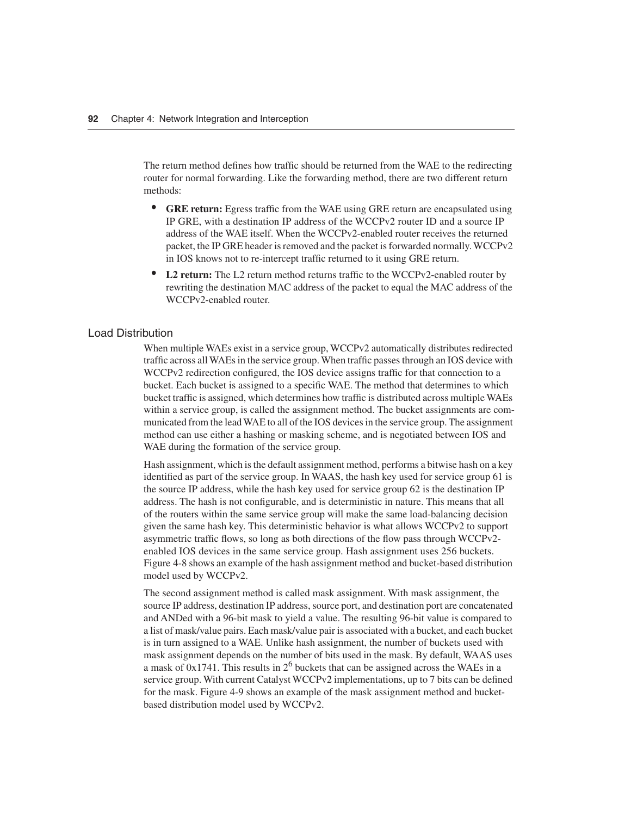The return method defines how traffic should be returned from the WAE to the redirecting router for normal forwarding. Like the forwarding method, there are two different return methods:

- **GRE return:** Egress traffic from the WAE using GRE return are encapsulated using IP GRE, with a destination IP address of the WCCPv2 router ID and a source IP address of the WAE itself. When the WCCPv2-enabled router receives the returned packet, the IP GRE header is removed and the packet is forwarded normally. WCCPv2 in IOS knows not to re-intercept traffic returned to it using GRE return.
- **L2 return:** The L2 return method returns traffic to the WCCPv2-enabled router by rewriting the destination MAC address of the packet to equal the MAC address of the WCCPv2-enabled router.

#### Load Distribution

When multiple WAEs exist in a service group, WCCPv2 automatically distributes redirected traffic across all WAEs in the service group. When traffic passes through an IOS device with WCCPv2 redirection configured, the IOS device assigns traffic for that connection to a bucket. Each bucket is assigned to a specific WAE. The method that determines to which bucket traffic is assigned, which determines how traffic is distributed across multiple WAEs within a service group, is called the assignment method. The bucket assignments are communicated from the lead WAE to all of the IOS devices in the service group. The assignment method can use either a hashing or masking scheme, and is negotiated between IOS and WAE during the formation of the service group.

Hash assignment, which is the default assignment method, performs a bitwise hash on a key identified as part of the service group. In WAAS, the hash key used for service group 61 is the source IP address, while the hash key used for service group 62 is the destination IP address. The hash is not configurable, and is deterministic in nature. This means that all of the routers within the same service group will make the same load-balancing decision given the same hash key. This deterministic behavior is what allows WCCPv2 to support asymmetric traffic flows, so long as both directions of the flow pass through WCCPv2 enabled IOS devices in the same service group. Hash assignment uses 256 buckets. Figure 4-8 shows an example of the hash assignment method and bucket-based distribution model used by WCCPv2.

The second assignment method is called mask assignment. With mask assignment, the source IP address, destination IP address, source port, and destination port are concatenated and ANDed with a 96-bit mask to yield a value. The resulting 96-bit value is compared to a list of mask/value pairs. Each mask/value pair is associated with a bucket, and each bucket is in turn assigned to a WAE. Unlike hash assignment, the number of buckets used with mask assignment depends on the number of bits used in the mask. By default, WAAS uses a mask of  $0x1741$ . This results in  $2^6$  buckets that can be assigned across the WAEs in a service group. With current Catalyst WCCPv2 implementations, up to 7 bits can be defined for the mask. Figure 4-9 shows an example of the mask assignment method and bucketbased distribution model used by WCCPv2.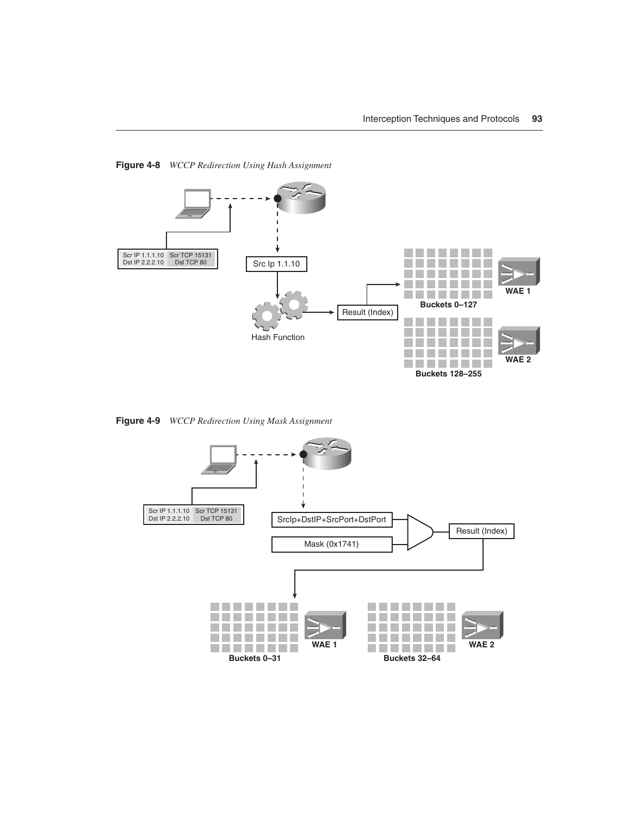

**Figure 4-8** *WCCP Redirection Using Hash Assignment*

**Figure 4-9** *WCCP Redirection Using Mask Assignment*

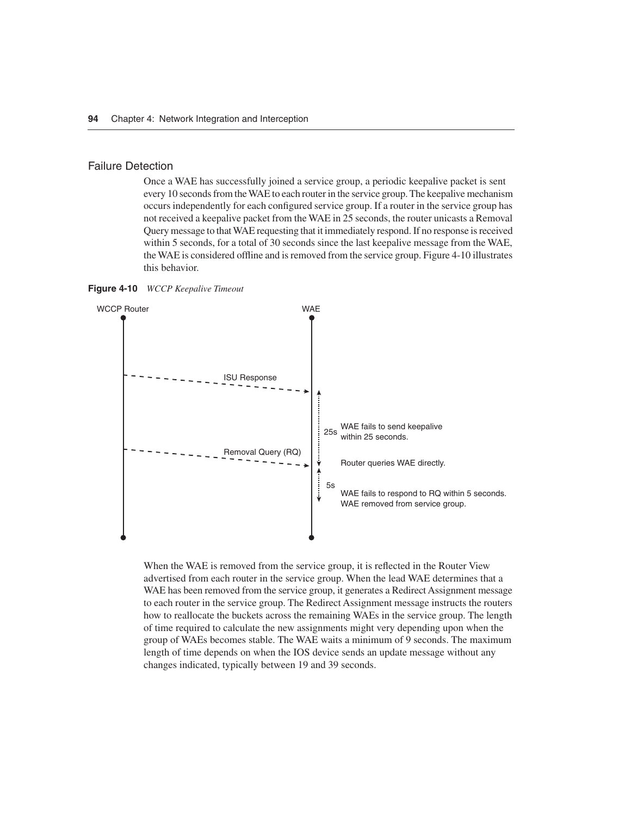#### Failure Detection

Once a WAE has successfully joined a service group, a periodic keepalive packet is sent every 10 seconds from the WAE to each router in the service group. The keepalive mechanism occurs independently for each configured service group. If a router in the service group has not received a keepalive packet from the WAE in 25 seconds, the router unicasts a Removal Query message to that WAE requesting that it immediately respond. If no response is received within 5 seconds, for a total of 30 seconds since the last keepalive message from the WAE, the WAE is considered offline and is removed from the service group. Figure 4-10 illustrates this behavior.





When the WAE is removed from the service group, it is reflected in the Router View advertised from each router in the service group. When the lead WAE determines that a WAE has been removed from the service group, it generates a Redirect Assignment message to each router in the service group. The Redirect Assignment message instructs the routers how to reallocate the buckets across the remaining WAEs in the service group. The length of time required to calculate the new assignments might very depending upon when the group of WAEs becomes stable. The WAE waits a minimum of 9 seconds. The maximum length of time depends on when the IOS device sends an update message without any changes indicated, typically between 19 and 39 seconds.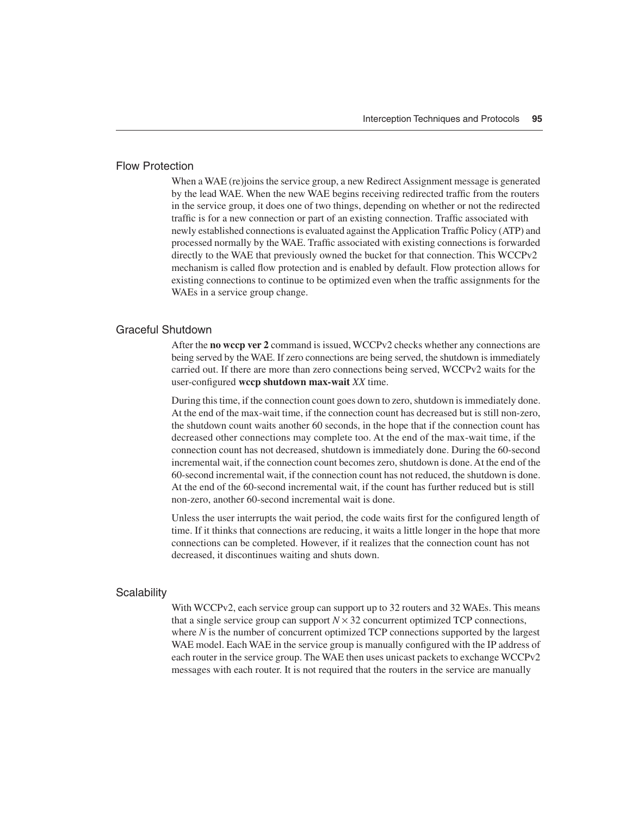#### Flow Protection

When a WAE (re)joins the service group, a new Redirect Assignment message is generated by the lead WAE. When the new WAE begins receiving redirected traffic from the routers in the service group, it does one of two things, depending on whether or not the redirected traffic is for a new connection or part of an existing connection. Traffic associated with newly established connections is evaluated against the Application Traffic Policy (ATP) and processed normally by the WAE. Traffic associated with existing connections is forwarded directly to the WAE that previously owned the bucket for that connection. This WCCPv2 mechanism is called flow protection and is enabled by default. Flow protection allows for existing connections to continue to be optimized even when the traffic assignments for the WAEs in a service group change.

#### Graceful Shutdown

After the **no wccp ver 2** command is issued, WCCPv2 checks whether any connections are being served by the WAE. If zero connections are being served, the shutdown is immediately carried out. If there are more than zero connections being served, WCCPv2 waits for the user-configured **wccp shutdown max-wait** *XX* time.

During this time, if the connection count goes down to zero, shutdown is immediately done. At the end of the max-wait time, if the connection count has decreased but is still non-zero, the shutdown count waits another 60 seconds, in the hope that if the connection count has decreased other connections may complete too. At the end of the max-wait time, if the connection count has not decreased, shutdown is immediately done. During the 60-second incremental wait, if the connection count becomes zero, shutdown is done. At the end of the 60-second incremental wait, if the connection count has not reduced, the shutdown is done. At the end of the 60-second incremental wait, if the count has further reduced but is still non-zero, another 60-second incremental wait is done.

Unless the user interrupts the wait period, the code waits first for the configured length of time. If it thinks that connections are reducing, it waits a little longer in the hope that more connections can be completed. However, if it realizes that the connection count has not decreased, it discontinues waiting and shuts down.

#### **Scalability**

With WCCPv2, each service group can support up to 32 routers and 32 WAEs. This means that a single service group can support  $N \times 32$  concurrent optimized TCP connections, where *N* is the number of concurrent optimized TCP connections supported by the largest WAE model. Each WAE in the service group is manually configured with the IP address of each router in the service group. The WAE then uses unicast packets to exchange WCCPv2 messages with each router. It is not required that the routers in the service are manually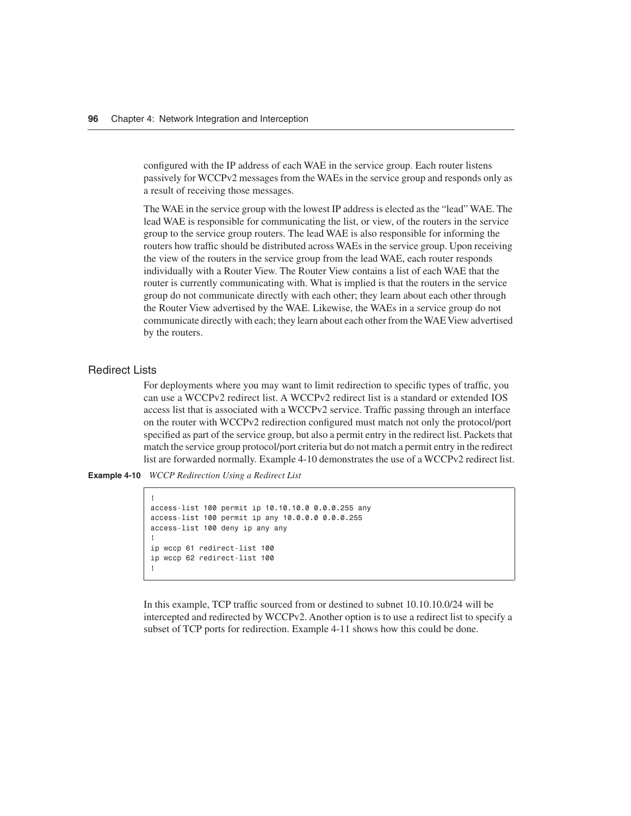configured with the IP address of each WAE in the service group. Each router listens passively for WCCPv2 messages from the WAEs in the service group and responds only as a result of receiving those messages.

The WAE in the service group with the lowest IP address is elected as the "lead" WAE. The lead WAE is responsible for communicating the list, or view, of the routers in the service group to the service group routers. The lead WAE is also responsible for informing the routers how traffic should be distributed across WAEs in the service group. Upon receiving the view of the routers in the service group from the lead WAE, each router responds individually with a Router View. The Router View contains a list of each WAE that the router is currently communicating with. What is implied is that the routers in the service group do not communicate directly with each other; they learn about each other through the Router View advertised by the WAE. Likewise, the WAEs in a service group do not communicate directly with each; they learn about each other from the WAE View advertised by the routers.

#### Redirect Lists

For deployments where you may want to limit redirection to specific types of traffic, you can use a WCCPv2 redirect list. A WCCPv2 redirect list is a standard or extended IOS access list that is associated with a WCCPv2 service. Traffic passing through an interface on the router with WCCPv2 redirection configured must match not only the protocol/port specified as part of the service group, but also a permit entry in the redirect list. Packets that match the service group protocol/port criteria but do not match a permit entry in the redirect list are forwarded normally. Example 4-10 demonstrates the use of a WCCPv2 redirect list.

**Example 4-10** *WCCP Redirection Using a Redirect List*

```
!
access-list 100 permit ip 10.10.10.0 0.0.0.255 any
access-list 100 permit ip any 10.0.0.0 0.0.0.255
access-list 100 deny ip any any
!
ip wccp 61 redirect-list 100
ip wccp 62 redirect-list 100
!
```
In this example, TCP traffic sourced from or destined to subnet 10.10.10.0/24 will be intercepted and redirected by WCCPv2. Another option is to use a redirect list to specify a subset of TCP ports for redirection. Example 4-11 shows how this could be done.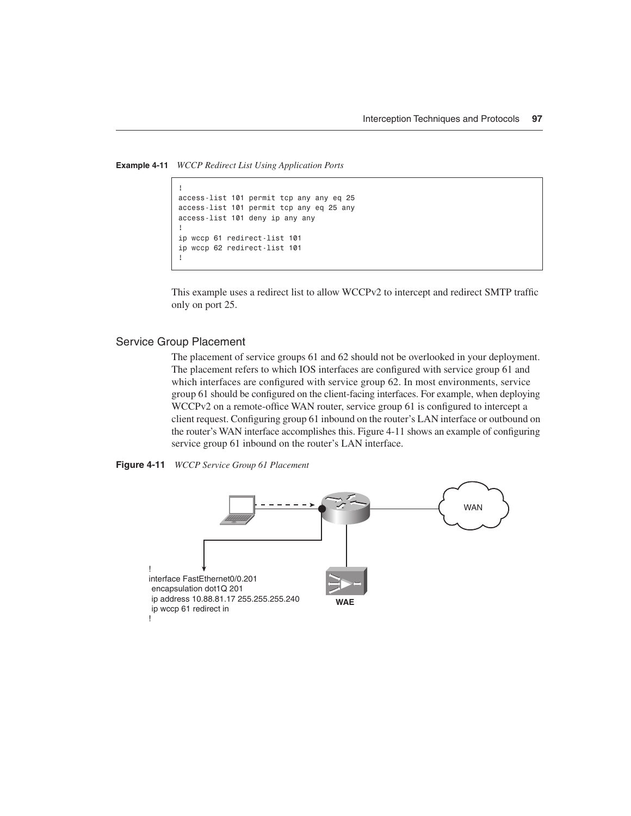**Example 4-11** *WCCP Redirect List Using Application Ports*

```
!
access-list 101 permit tcp any any eq 25
access-list 101 permit tcp any eq 25 any
access-list 101 deny ip any any
!
ip wccp 61 redirect-list 101
ip wccp 62 redirect-list 101
!
```
This example uses a redirect list to allow WCCPv2 to intercept and redirect SMTP traffic only on port 25.

#### Service Group Placement

The placement of service groups 61 and 62 should not be overlooked in your deployment. The placement refers to which IOS interfaces are configured with service group 61 and which interfaces are configured with service group 62. In most environments, service group 61 should be configured on the client-facing interfaces. For example, when deploying WCCPv2 on a remote-office WAN router, service group 61 is configured to intercept a client request. Configuring group 61 inbound on the router's LAN interface or outbound on the router's WAN interface accomplishes this. Figure 4-11 shows an example of configuring service group 61 inbound on the router's LAN interface.



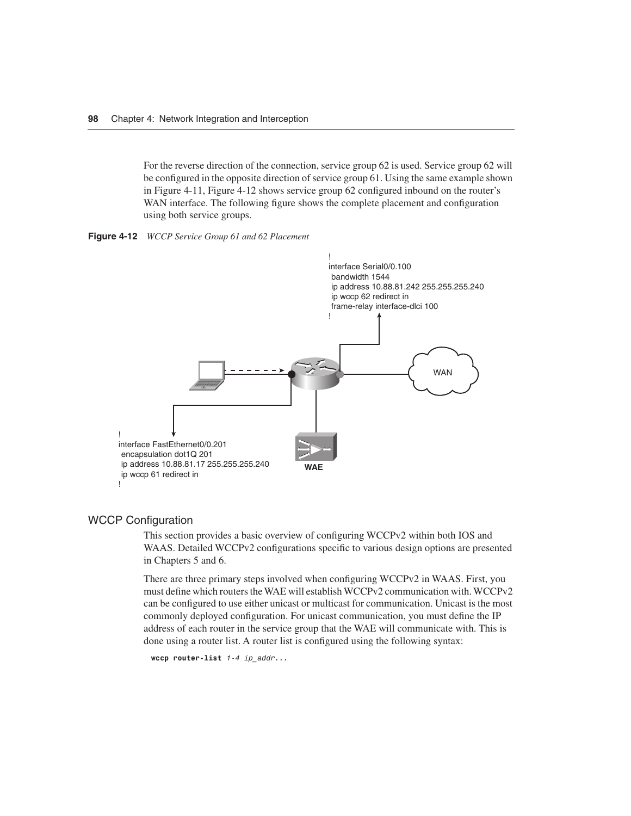For the reverse direction of the connection, service group 62 is used. Service group 62 will be configured in the opposite direction of service group 61. Using the same example shown in Figure 4-11, Figure 4-12 shows service group 62 configured inbound on the router's WAN interface. The following figure shows the complete placement and configuration using both service groups.





#### WCCP Configuration

This section provides a basic overview of configuring WCCPv2 within both IOS and WAAS. Detailed WCCPv2 configurations specific to various design options are presented in Chapters 5 and 6.

There are three primary steps involved when configuring WCCPv2 in WAAS. First, you must define which routers the WAE will establish WCCPv2 communication with. WCCPv2 can be configured to use either unicast or multicast for communication. Unicast is the most commonly deployed configuration. For unicast communication, you must define the IP address of each router in the service group that the WAE will communicate with. This is done using a router list. A router list is configured using the following syntax:

*wccp router-list 1-4 ip\_addr...*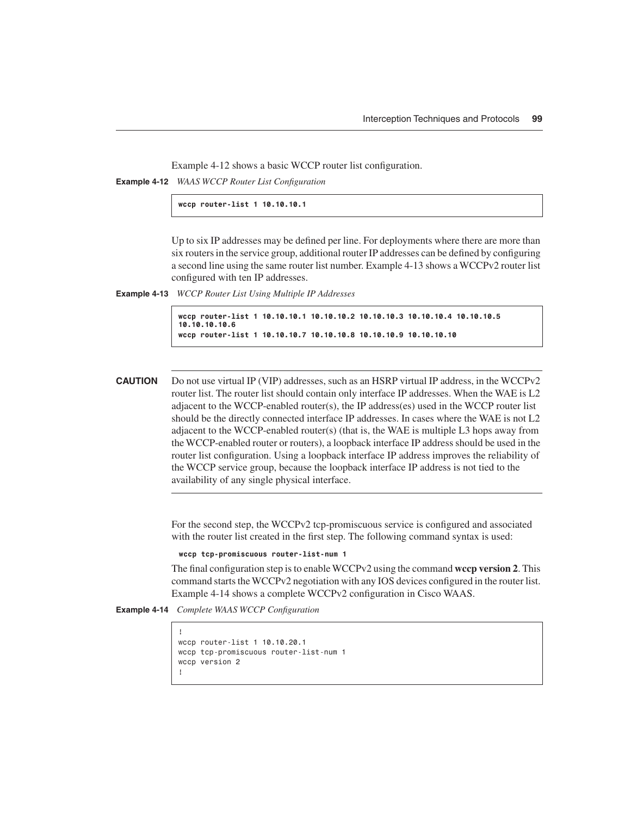Example 4-12 shows a basic WCCP router list configuration.

**Example 4-12** *WAAS WCCP Router List Configuration*

*wccp router-list 1 10.10.10.1*

Up to six IP addresses may be defined per line. For deployments where there are more than six routers in the service group, additional router IP addresses can be defined by configuring a second line using the same router list number. Example 4-13 shows a WCCPv2 router list configured with ten IP addresses.

**Example 4-13** *WCCP Router List Using Multiple IP Addresses*

*wccp router-list 1 10.10.10.1 10.10.10.2 10.10.10.3 10.10.10.4 10.10.10.5 10.10.10.10.6 wccp router-list 1 10.10.10.7 10.10.10.8 10.10.10.9 10.10.10.10*

**CAUTION** Do not use virtual IP (VIP) addresses, such as an HSRP virtual IP address, in the WCCP $v$ 2 router list. The router list should contain only interface IP addresses. When the WAE is L2 adjacent to the WCCP-enabled router(s), the IP address(es) used in the WCCP router list should be the directly connected interface IP addresses. In cases where the WAE is not L2 adjacent to the WCCP-enabled router(s) (that is, the WAE is multiple L3 hops away from the WCCP-enabled router or routers), a loopback interface IP address should be used in the router list configuration. Using a loopback interface IP address improves the reliability of the WCCP service group, because the loopback interface IP address is not tied to the availability of any single physical interface.

> For the second step, the WCCPv2 tcp-promiscuous service is configured and associated with the router list created in the first step. The following command syntax is used:

*wccp tcp-promiscuous router-list-num 1*

The final configuration step is to enable WCCPv2 using the command **wccp version 2**. This command starts the WCCPv2 negotiation with any IOS devices configured in the router list. Example 4-14 shows a complete WCCPv2 configuration in Cisco WAAS.

**Example 4-14** *Complete WAAS WCCP Configuration*

```
!
wccp router-list 1 10.10.20.1
wccp tcp-promiscuous router-list-num 1
wccp version 2
!
```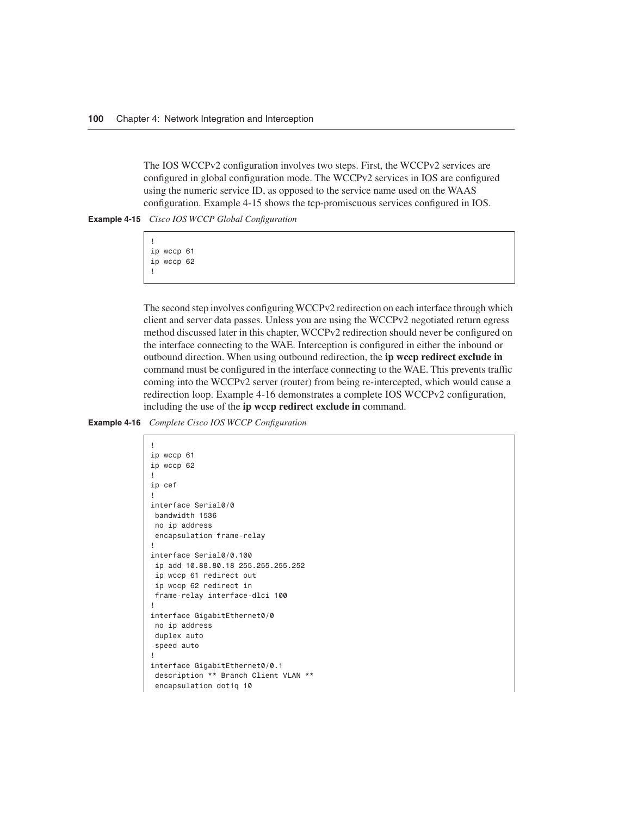The IOS WCCPv2 configuration involves two steps. First, the WCCPv2 services are configured in global configuration mode. The WCCPv2 services in IOS are configured using the numeric service ID, as opposed to the service name used on the WAAS configuration. Example 4-15 shows the tcp-promiscuous services configured in IOS.

**Example 4-15** *Cisco IOS WCCP Global Configuration*

*! ip wccp 61 ip wccp 62 !*

The second step involves configuring WCCPv2 redirection on each interface through which client and server data passes. Unless you are using the WCCPv2 negotiated return egress method discussed later in this chapter, WCCPv2 redirection should never be configured on the interface connecting to the WAE. Interception is configured in either the inbound or outbound direction. When using outbound redirection, the **ip wccp redirect exclude in** command must be configured in the interface connecting to the WAE. This prevents traffic coming into the WCCPv2 server (router) from being re-intercepted, which would cause a redirection loop. Example 4-16 demonstrates a complete IOS WCCPv2 configuration, including the use of the **ip wccp redirect exclude in** command.

**Example 4-16** *Complete Cisco IOS WCCP Configuration* 

```
!
ip wccp 61
ip wccp 62
!
ip cef
!
interface Serial0/0
 bandwidth 1536 
 no ip address
 encapsulation frame-relay
!
interface Serial0/0.100
 ip add 10.88.80.18 255.255.255.252
  ip wccp 61 redirect out
 ip wccp 62 redirect in
 frame-relay interface-dlci 100
!
interface GigabitEthernet0/0
 no ip address
 duplex auto
 speed auto
!
interface GigabitEthernet0/0.1
  description ** Branch Client VLAN **
  encapsulation dot1q 10
```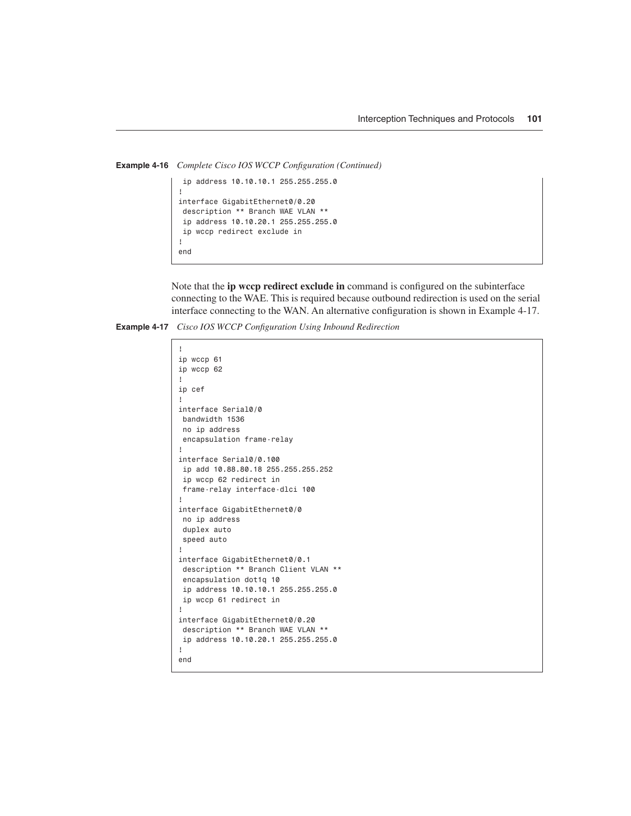**Example 4-16** *Complete Cisco IOS WCCP Configuration (Continued)*

```
 ip address 10.10.10.1 255.255.255.0
!
interface GigabitEthernet0/0.20
 description ** Branch WAE VLAN **
 ip address 10.10.20.1 255.255.255.0
 ip wccp redirect exclude in
!
end
```
Note that the **ip wccp redirect exclude in** command is configured on the subinterface connecting to the WAE. This is required because outbound redirection is used on the serial interface connecting to the WAN. An alternative configuration is shown in Example 4-17.

**Example 4-17** *Cisco IOS WCCP Configuration Using Inbound Redirection*

```
!
ip wccp 61
ip wccp 62
!
ip cef
!
interface Serial0/0
 bandwidth 1536 
 no ip address
 encapsulation frame-relay
!
interface Serial0/0.100
 ip add 10.88.80.18 255.255.255.252
 ip wccp 62 redirect in
 frame-relay interface-dlci 100
!
interface GigabitEthernet0/0
 no ip address
 duplex auto
 speed auto
!
interface GigabitEthernet0/0.1
 description ** Branch Client VLAN **
 encapsulation dot1q 10
 ip address 10.10.10.1 255.255.255.0
 ip wccp 61 redirect in
!
interface GigabitEthernet0/0.20
 description ** Branch WAE VLAN **
 ip address 10.10.20.1 255.255.255.0
!
end
```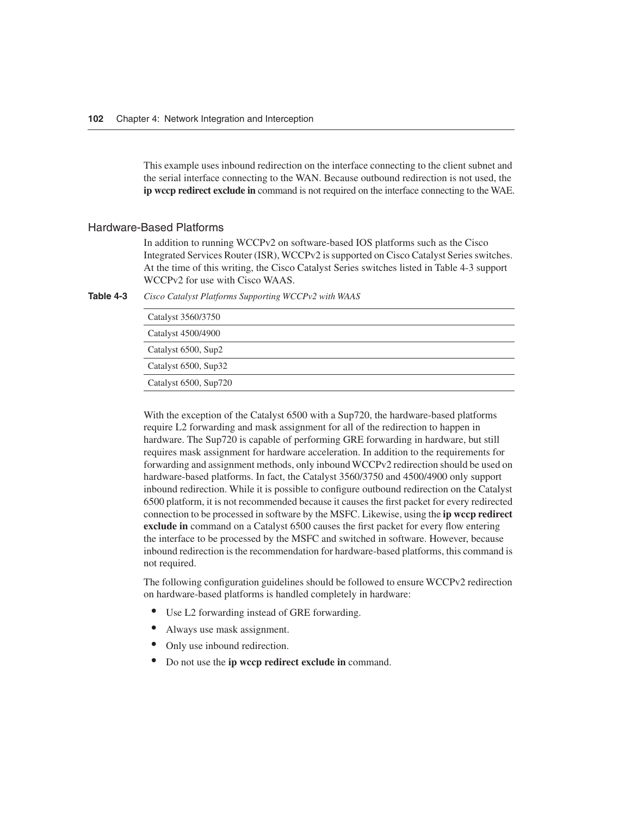This example uses inbound redirection on the interface connecting to the client subnet and the serial interface connecting to the WAN. Because outbound redirection is not used, the **ip wccp redirect exclude in** command is not required on the interface connecting to the WAE.

#### Hardware-Based Platforms

In addition to running WCCPv2 on software-based IOS platforms such as the Cisco Integrated Services Router (ISR), WCCPv2 is supported on Cisco Catalyst Series switches. At the time of this writing, the Cisco Catalyst Series switches listed in Table 4-3 support WCCPv2 for use with Cisco WAAS.

#### **Table 4-3** *Cisco Catalyst Platforms Supporting WCCPv2 with WAAS*

| Catalyst 3560/3750    |
|-----------------------|
| Catalyst 4500/4900    |
| Catalyst 6500, Sup2   |
| Catalyst 6500, Sup32  |
| Catalyst 6500, Sup720 |

With the exception of the Catalyst 6500 with a Sup720, the hardware-based platforms require L2 forwarding and mask assignment for all of the redirection to happen in hardware. The Sup720 is capable of performing GRE forwarding in hardware, but still requires mask assignment for hardware acceleration. In addition to the requirements for forwarding and assignment methods, only inbound WCCPv2 redirection should be used on hardware-based platforms. In fact, the Catalyst 3560/3750 and 4500/4900 only support inbound redirection. While it is possible to configure outbound redirection on the Catalyst 6500 platform, it is not recommended because it causes the first packet for every redirected connection to be processed in software by the MSFC. Likewise, using the **ip wccp redirect exclude in** command on a Catalyst 6500 causes the first packet for every flow entering the interface to be processed by the MSFC and switched in software. However, because inbound redirection is the recommendation for hardware-based platforms, this command is not required.

The following configuration guidelines should be followed to ensure WCCPv2 redirection on hardware-based platforms is handled completely in hardware:

- Use L2 forwarding instead of GRE forwarding.
- Always use mask assignment.
- Only use inbound redirection.
- Do not use the **ip wccp redirect exclude in** command.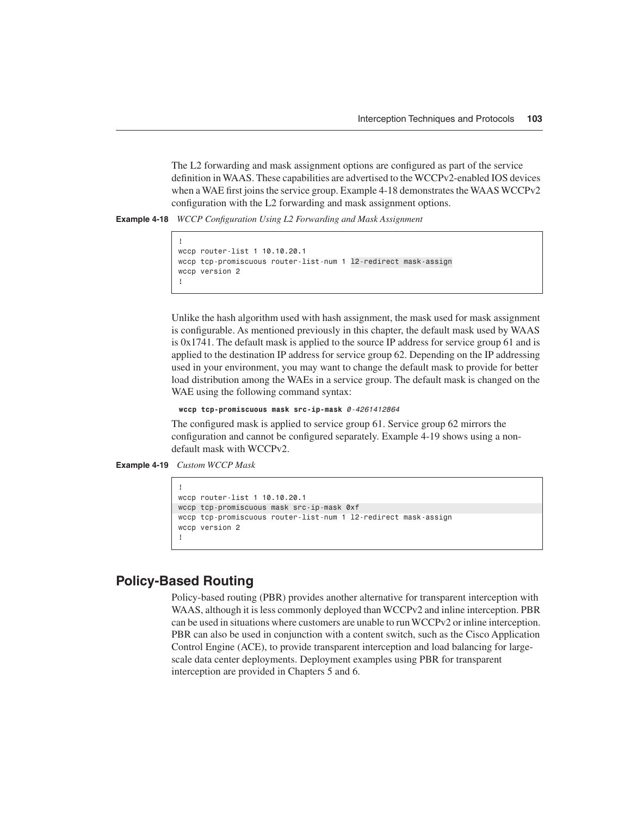The L2 forwarding and mask assignment options are configured as part of the service definition in WAAS. These capabilities are advertised to the WCCPv2-enabled IOS devices when a WAE first joins the service group. Example  $4-18$  demonstrates the WAAS WCCP $v^2$ configuration with the L2 forwarding and mask assignment options.

**Example 4-18** *WCCP Configuration Using L2 Forwarding and Mask Assignment*

```
!
wccp router-list 1 10.10.20.1
wccp tcp-promiscuous router-list-num 1 l2-redirect mask-assign
l2-redirect mask-assignwccp version 2
!
```
Unlike the hash algorithm used with hash assignment, the mask used for mask assignment is configurable. As mentioned previously in this chapter, the default mask used by WAAS is 0x1741. The default mask is applied to the source IP address for service group 61 and is applied to the destination IP address for service group 62. Depending on the IP addressing used in your environment, you may want to change the default mask to provide for better load distribution among the WAEs in a service group. The default mask is changed on the WAE using the following command syntax:

#### *wccp tcp-promiscuous mask src-ip-mask 0-4261412864*

The configured mask is applied to service group 61. Service group 62 mirrors the configuration and cannot be configured separately. Example 4-19 shows using a nondefault mask with WCCPv2.

#### **Example 4-19** *Custom WCCP Mask*

```
!
wccp router-list 1 10.10.20.1
wccp tcp-promiscuous mask src-ip-mask 0xf
wccp tcp-promiscuous router-list-num 1 l2-redirect mask-assign
wccp version 2
!
```
### **Policy-Based Routing**

Policy-based routing (PBR) provides another alternative for transparent interception with WAAS, although it is less commonly deployed than WCCPv2 and inline interception. PBR can be used in situations where customers are unable to run WCCPv2 or inline interception. PBR can also be used in conjunction with a content switch, such as the Cisco Application Control Engine (ACE), to provide transparent interception and load balancing for largescale data center deployments. Deployment examples using PBR for transparent interception are provided in Chapters 5 and 6.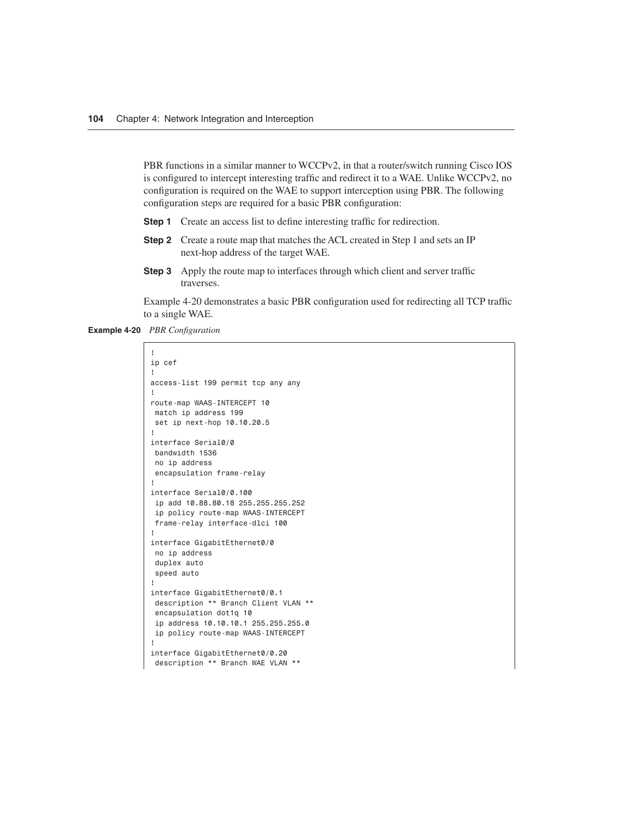PBR functions in a similar manner to WCCPv2, in that a router/switch running Cisco IOS is configured to intercept interesting traffic and redirect it to a WAE. Unlike WCCPv2, no configuration is required on the WAE to support interception using PBR. The following configuration steps are required for a basic PBR configuration:

- **Step 1** Create an access list to define interesting traffic for redirection.
- **Step 2** Create a route map that matches the ACL created in Step 1 and sets an IP next-hop address of the target WAE.
- **Step 3** Apply the route map to interfaces through which client and server traffic traverses.

Example 4-20 demonstrates a basic PBR configuration used for redirecting all TCP traffic to a single WAE.

**Example 4-20** *PBR Configuration* 

```
!
ip cef
!
access-list 199 permit tcp any any
!
route-map WAAS-INTERCEPT 10
 match ip address 199
 set ip next-hop 10.10.20.5
!
interface Serial0/0
 bandwidth 1536 
 no ip address
 encapsulation frame-relay
!
interface Serial0/0.100
 ip add 10.88.80.18 255.255.255.252
  ip policy route-map WAAS-INTERCEPT
  frame-relay interface-dlci 100
!
interface GigabitEthernet0/0
 no ip address
 duplex auto
 speed auto
!
interface GigabitEthernet0/0.1
 description ** Branch Client VLAN **
  encapsulation dot1q 10
  ip address 10.10.10.1 255.255.255.0
 ip policy route-map WAAS-INTERCEPT
!
interface GigabitEthernet0/0.20
 description ** Branch WAE VLAN **
```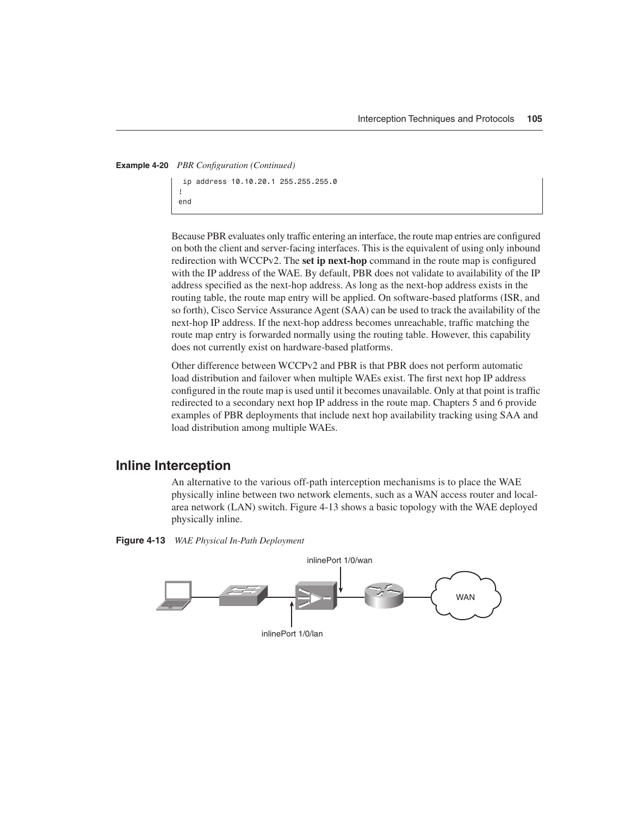**Example 4-20** *PBR Configuration (Continued)*

```
 ip address 10.10.20.1 255.255.255.0
!
end
```
Because PBR evaluates only traffic entering an interface, the route map entries are configured on both the client and server-facing interfaces. This is the equivalent of using only inbound redirection with WCCPv2. The **set ip next-hop** command in the route map is configured with the IP address of the WAE. By default, PBR does not validate to availability of the IP address specified as the next-hop address. As long as the next-hop address exists in the routing table, the route map entry will be applied. On software-based platforms (ISR, and so forth), Cisco Service Assurance Agent (SAA) can be used to track the availability of the next-hop IP address. If the next-hop address becomes unreachable, traffic matching the route map entry is forwarded normally using the routing table. However, this capability does not currently exist on hardware-based platforms.

Other difference between WCCPv2 and PBR is that PBR does not perform automatic load distribution and failover when multiple WAEs exist. The first next hop IP address configured in the route map is used until it becomes unavailable. Only at that point is traffic redirected to a secondary next hop IP address in the route map. Chapters 5 and 6 provide examples of PBR deployments that include next hop availability tracking using SAA and load distribution among multiple WAEs.

#### **Inline Interception**

An alternative to the various off-path interception mechanisms is to place the WAE physically inline between two network elements, such as a WAN access router and localarea network (LAN) switch. Figure 4-13 shows a basic topology with the WAE deployed physically inline.

**Figure 4-13** *WAE Physical In-Path Deployment*

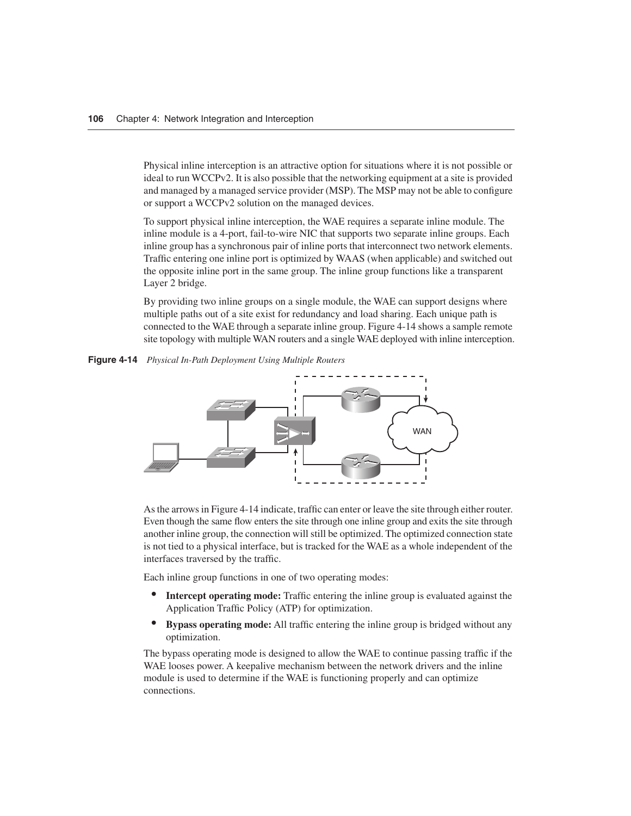Physical inline interception is an attractive option for situations where it is not possible or ideal to run WCCPv2. It is also possible that the networking equipment at a site is provided and managed by a managed service provider (MSP). The MSP may not be able to configure or support a WCCPv2 solution on the managed devices.

To support physical inline interception, the WAE requires a separate inline module. The inline module is a 4-port, fail-to-wire NIC that supports two separate inline groups. Each inline group has a synchronous pair of inline ports that interconnect two network elements. Traffic entering one inline port is optimized by WAAS (when applicable) and switched out the opposite inline port in the same group. The inline group functions like a transparent Layer 2 bridge.

By providing two inline groups on a single module, the WAE can support designs where multiple paths out of a site exist for redundancy and load sharing. Each unique path is connected to the WAE through a separate inline group. Figure 4-14 shows a sample remote site topology with multiple WAN routers and a single WAE deployed with inline interception.





As the arrows in Figure 4-14 indicate, traffic can enter or leave the site through either router. Even though the same flow enters the site through one inline group and exits the site through another inline group, the connection will still be optimized. The optimized connection state is not tied to a physical interface, but is tracked for the WAE as a whole independent of the interfaces traversed by the traffic.

Each inline group functions in one of two operating modes:

- **Intercept operating mode:** Traffic entering the inline group is evaluated against the Application Traffic Policy (ATP) for optimization.
- **Bypass operating mode:** All traffic entering the inline group is bridged without any optimization.

The bypass operating mode is designed to allow the WAE to continue passing traffic if the WAE looses power. A keepalive mechanism between the network drivers and the inline module is used to determine if the WAE is functioning properly and can optimize connections.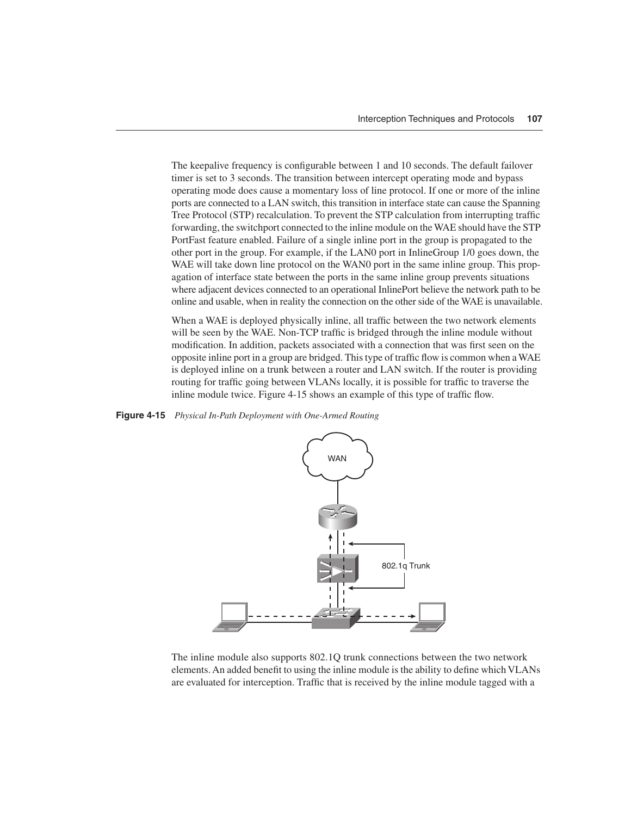The keepalive frequency is configurable between 1 and 10 seconds. The default failover timer is set to 3 seconds. The transition between intercept operating mode and bypass operating mode does cause a momentary loss of line protocol. If one or more of the inline ports are connected to a LAN switch, this transition in interface state can cause the Spanning Tree Protocol (STP) recalculation. To prevent the STP calculation from interrupting traffic forwarding, the switchport connected to the inline module on the WAE should have the STP PortFast feature enabled. Failure of a single inline port in the group is propagated to the other port in the group. For example, if the LAN0 port in InlineGroup 1/0 goes down, the WAE will take down line protocol on the WAN0 port in the same inline group. This propagation of interface state between the ports in the same inline group prevents situations where adjacent devices connected to an operational InlinePort believe the network path to be online and usable, when in reality the connection on the other side of the WAE is unavailable.

When a WAE is deployed physically inline, all traffic between the two network elements will be seen by the WAE. Non-TCP traffic is bridged through the inline module without modification. In addition, packets associated with a connection that was first seen on the opposite inline port in a group are bridged. This type of traffic flow is common when a WAE is deployed inline on a trunk between a router and LAN switch. If the router is providing routing for traffic going between VLANs locally, it is possible for traffic to traverse the inline module twice. Figure 4-15 shows an example of this type of traffic flow.

**Figure 4-15** *Physical In-Path Deployment with One-Armed Routing*



The inline module also supports 802.1Q trunk connections between the two network elements. An added benefit to using the inline module is the ability to define which VLANs are evaluated for interception. Traffic that is received by the inline module tagged with a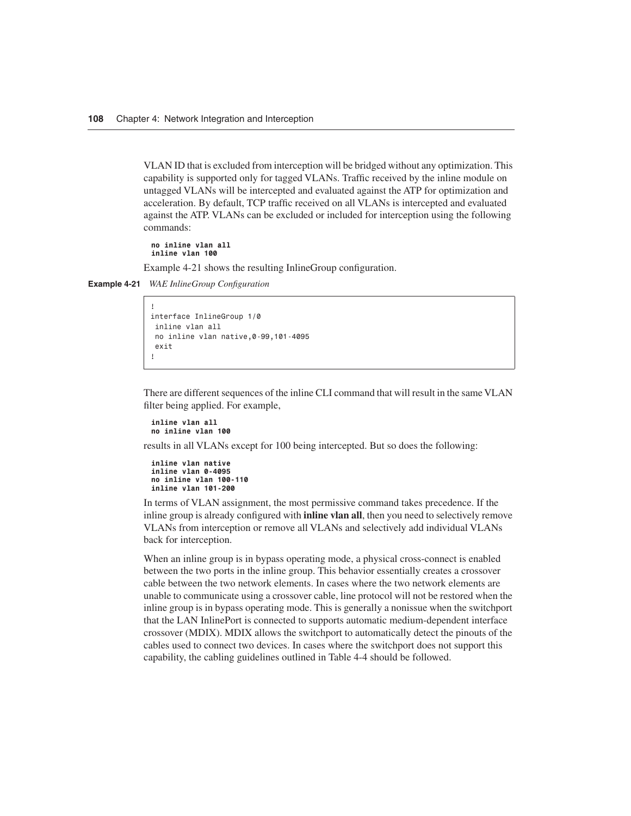VLAN ID that is excluded from interception will be bridged without any optimization. This capability is supported only for tagged VLANs. Traffic received by the inline module on untagged VLANs will be intercepted and evaluated against the ATP for optimization and acceleration. By default, TCP traffic received on all VLANs is intercepted and evaluated against the ATP. VLANs can be excluded or included for interception using the following commands:

*no inline vlan all inline vlan 100*

Example 4-21 shows the resulting InlineGroup configuration.

**Example 4-21** *WAE InlineGroup Configuration*

```
!
interface InlineGroup 1/0
 inline vlan all
 no inline vlan native,0-99,101-4095
 exit
!
```
There are different sequences of the inline CLI command that will result in the same VLAN filter being applied. For example,

```
inline vlan all
no inline vlan 100
```
results in all VLANs except for 100 being intercepted. But so does the following:

```
inline vlan native
inline vlan 0-4095
no inline vlan 100-110
inline vlan 101-200
```
In terms of VLAN assignment, the most permissive command takes precedence. If the inline group is already configured with **inline vlan all**, then you need to selectively remove VLANs from interception or remove all VLANs and selectively add individual VLANs back for interception.

When an inline group is in bypass operating mode, a physical cross-connect is enabled between the two ports in the inline group. This behavior essentially creates a crossover cable between the two network elements. In cases where the two network elements are unable to communicate using a crossover cable, line protocol will not be restored when the inline group is in bypass operating mode. This is generally a nonissue when the switchport that the LAN InlinePort is connected to supports automatic medium-dependent interface crossover (MDIX). MDIX allows the switchport to automatically detect the pinouts of the cables used to connect two devices. In cases where the switchport does not support this capability, the cabling guidelines outlined in Table 4-4 should be followed.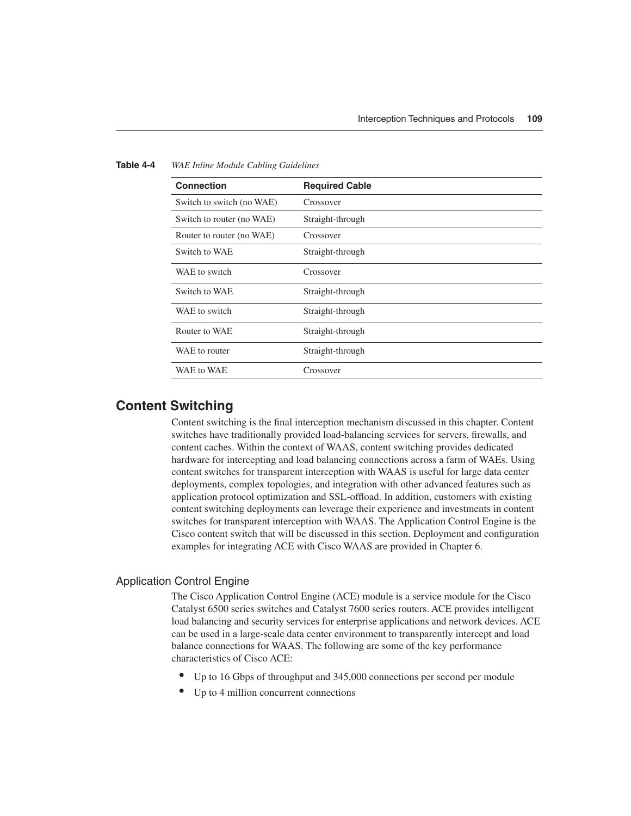| <b>Connection</b>         | <b>Required Cable</b> |
|---------------------------|-----------------------|
| Switch to switch (no WAE) | Crossover             |
| Switch to router (no WAE) | Straight-through      |
| Router to router (no WAE) | Crossover             |
| Switch to WAE             | Straight-through      |
| WAE to switch             | Crossover             |
| Switch to WAE             | Straight-through      |
| WAE to switch             | Straight-through      |
| Router to WAE             | Straight-through      |
| WAE to router             | Straight-through      |
| WAE to WAE                | Crossover             |

**Table 4-4** *WAE Inline Module Cabling Guidelines*

#### **Content Switching**

Content switching is the final interception mechanism discussed in this chapter. Content switches have traditionally provided load-balancing services for servers, firewalls, and content caches. Within the context of WAAS, content switching provides dedicated hardware for intercepting and load balancing connections across a farm of WAEs. Using content switches for transparent interception with WAAS is useful for large data center deployments, complex topologies, and integration with other advanced features such as application protocol optimization and SSL-offload. In addition, customers with existing content switching deployments can leverage their experience and investments in content switches for transparent interception with WAAS. The Application Control Engine is the Cisco content switch that will be discussed in this section. Deployment and configuration examples for integrating ACE with Cisco WAAS are provided in Chapter 6.

#### Application Control Engine

The Cisco Application Control Engine (ACE) module is a service module for the Cisco Catalyst 6500 series switches and Catalyst 7600 series routers. ACE provides intelligent load balancing and security services for enterprise applications and network devices. ACE can be used in a large-scale data center environment to transparently intercept and load balance connections for WAAS. The following are some of the key performance characteristics of Cisco ACE:

- Up to 16 Gbps of throughput and 345,000 connections per second per module
- Up to 4 million concurrent connections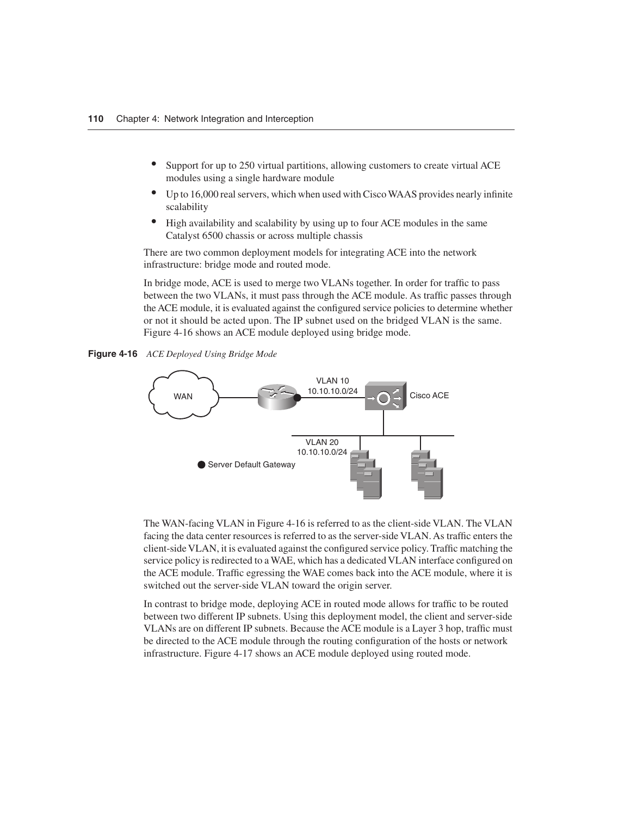- Support for up to 250 virtual partitions, allowing customers to create virtual ACE modules using a single hardware module
- Up to 16,000 real servers, which when used with Cisco WAAS provides nearly infinite scalability
- High availability and scalability by using up to four ACE modules in the same Catalyst 6500 chassis or across multiple chassis

There are two common deployment models for integrating ACE into the network infrastructure: bridge mode and routed mode.

In bridge mode, ACE is used to merge two VLANs together. In order for traffic to pass between the two VLANs, it must pass through the ACE module. As traffic passes through the ACE module, it is evaluated against the configured service policies to determine whether or not it should be acted upon. The IP subnet used on the bridged VLAN is the same. Figure 4-16 shows an ACE module deployed using bridge mode.





The WAN-facing VLAN in Figure 4-16 is referred to as the client-side VLAN. The VLAN facing the data center resources is referred to as the server-side VLAN. As traffic enters the client-side VLAN, it is evaluated against the configured service policy. Traffic matching the service policy is redirected to a WAE, which has a dedicated VLAN interface configured on the ACE module. Traffic egressing the WAE comes back into the ACE module, where it is switched out the server-side VLAN toward the origin server.

In contrast to bridge mode, deploying ACE in routed mode allows for traffic to be routed between two different IP subnets. Using this deployment model, the client and server-side VLANs are on different IP subnets. Because the ACE module is a Layer 3 hop, traffic must be directed to the ACE module through the routing configuration of the hosts or network infrastructure. Figure 4-17 shows an ACE module deployed using routed mode.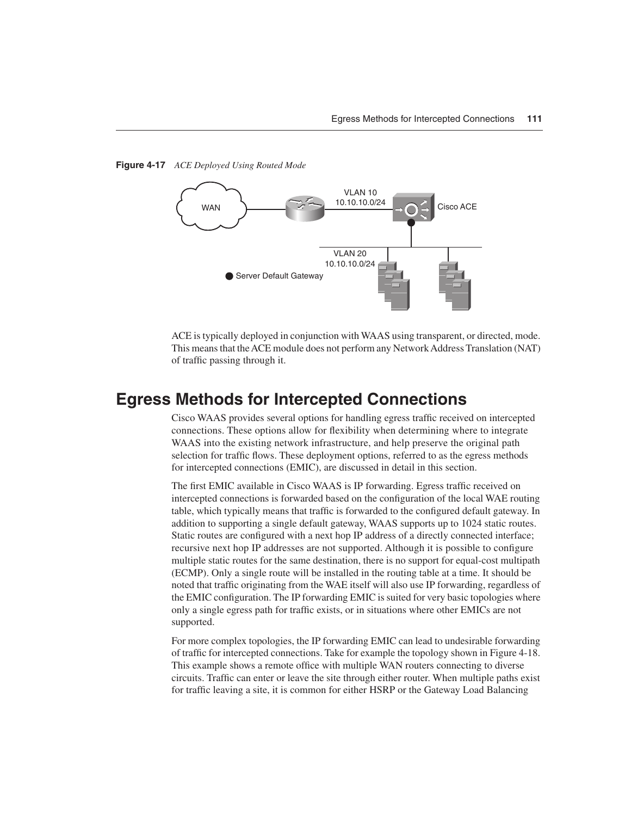

**Figure 4-17** *ACE Deployed Using Routed Mode*

ACE is typically deployed in conjunction with WAAS using transparent, or directed, mode. This means that the ACE module does not perform any Network Address Translation (NAT) of traffic passing through it.

## **Egress Methods for Intercepted Connections**

Cisco WAAS provides several options for handling egress traffic received on intercepted connections. These options allow for flexibility when determining where to integrate WAAS into the existing network infrastructure, and help preserve the original path selection for traffic flows. These deployment options, referred to as the egress methods for intercepted connections (EMIC), are discussed in detail in this section.

The first EMIC available in Cisco WAAS is IP forwarding. Egress traffic received on intercepted connections is forwarded based on the configuration of the local WAE routing table, which typically means that traffic is forwarded to the configured default gateway. In addition to supporting a single default gateway, WAAS supports up to 1024 static routes. Static routes are configured with a next hop IP address of a directly connected interface; recursive next hop IP addresses are not supported. Although it is possible to configure multiple static routes for the same destination, there is no support for equal-cost multipath (ECMP). Only a single route will be installed in the routing table at a time. It should be noted that traffic originating from the WAE itself will also use IP forwarding, regardless of the EMIC configuration. The IP forwarding EMIC is suited for very basic topologies where only a single egress path for traffic exists, or in situations where other EMICs are not supported.

For more complex topologies, the IP forwarding EMIC can lead to undesirable forwarding of traffic for intercepted connections. Take for example the topology shown in Figure 4-18. This example shows a remote office with multiple WAN routers connecting to diverse circuits. Traffic can enter or leave the site through either router. When multiple paths exist for traffic leaving a site, it is common for either HSRP or the Gateway Load Balancing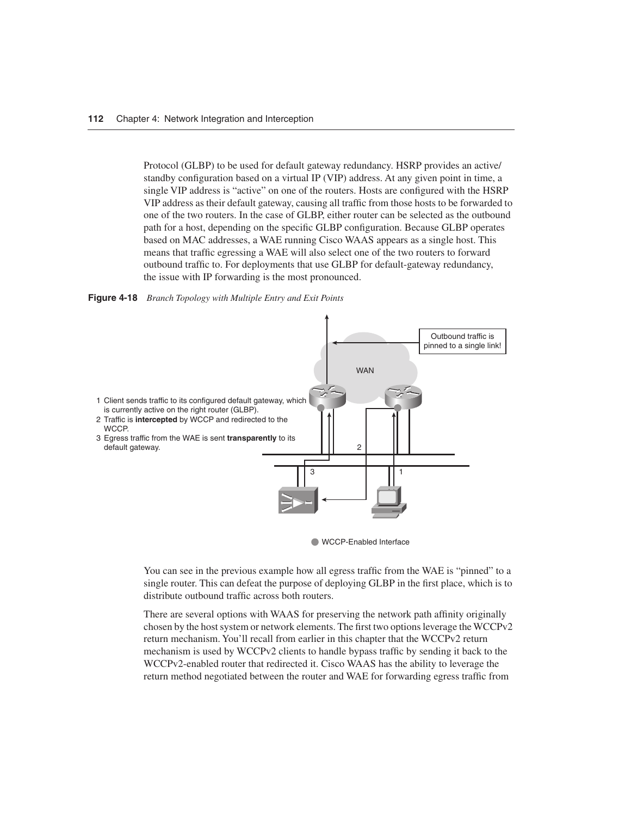Protocol (GLBP) to be used for default gateway redundancy. HSRP provides an active/ standby configuration based on a virtual IP (VIP) address. At any given point in time, a single VIP address is "active" on one of the routers. Hosts are configured with the HSRP VIP address as their default gateway, causing all traffic from those hosts to be forwarded to one of the two routers. In the case of GLBP, either router can be selected as the outbound path for a host, depending on the specific GLBP configuration. Because GLBP operates based on MAC addresses, a WAE running Cisco WAAS appears as a single host. This means that traffic egressing a WAE will also select one of the two routers to forward outbound traffic to. For deployments that use GLBP for default-gateway redundancy, the issue with IP forwarding is the most pronounced.

#### **Figure 4-18** *Branch Topology with Multiple Entry and Exit Points*



WCCP-Enabled Interface

You can see in the previous example how all egress traffic from the WAE is "pinned" to a single router. This can defeat the purpose of deploying GLBP in the first place, which is to distribute outbound traffic across both routers.

There are several options with WAAS for preserving the network path affinity originally chosen by the host system or network elements. The first two options leverage the WCCPv2 return mechanism. You'll recall from earlier in this chapter that the WCCPv2 return mechanism is used by WCCPv2 clients to handle bypass traffic by sending it back to the WCCPv2-enabled router that redirected it. Cisco WAAS has the ability to leverage the return method negotiated between the router and WAE for forwarding egress traffic from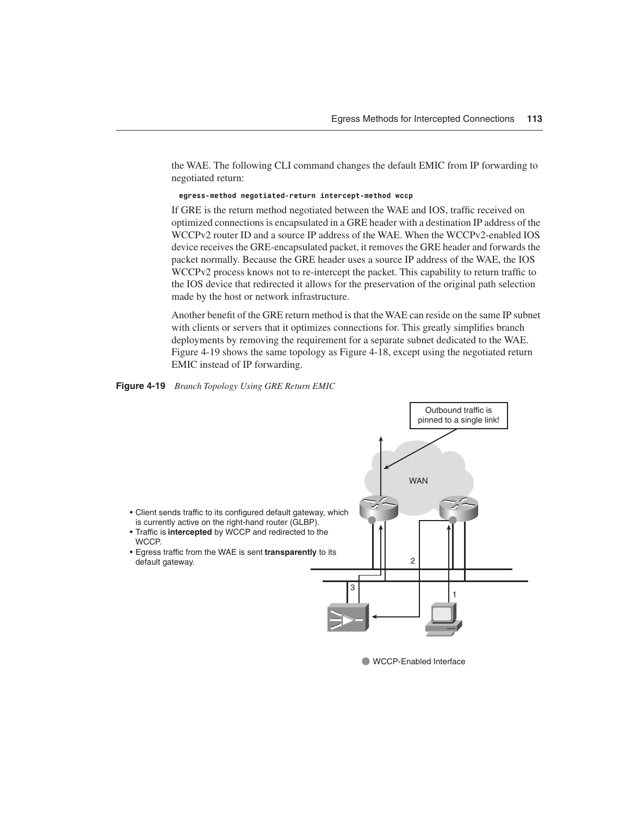the WAE. The following CLI command changes the default EMIC from IP forwarding to negotiated return:

#### *egress-method negotiated-return intercept-method wccp*

If GRE is the return method negotiated between the WAE and IOS, traffic received on optimized connections is encapsulated in a GRE header with a destination IP address of the WCCPv2 router ID and a source IP address of the WAE. When the WCCPv2-enabled IOS device receives the GRE-encapsulated packet, it removes the GRE header and forwards the packet normally. Because the GRE header uses a source IP address of the WAE, the IOS WCCPv2 process knows not to re-intercept the packet. This capability to return traffic to the IOS device that redirected it allows for the preservation of the original path selection made by the host or network infrastructure.

Another benefit of the GRE return method is that the WAE can reside on the same IP subnet with clients or servers that it optimizes connections for. This greatly simplifies branch deployments by removing the requirement for a separate subnet dedicated to the WAE. Figure 4-19 shows the same topology as Figure 4-18, except using the negotiated return EMIC instead of IP forwarding.

#### **Figure 4-19** *Branch Topology Using GRE Return EMIC*

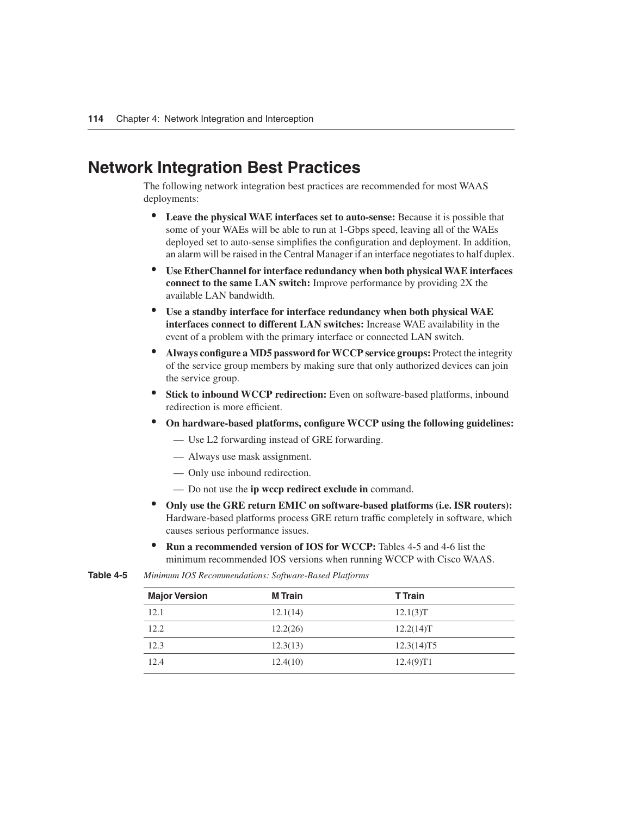## **Network Integration Best Practices**

The following network integration best practices are recommended for most WAAS deployments:

- **Leave the physical WAE interfaces set to auto-sense:** Because it is possible that some of your WAEs will be able to run at 1-Gbps speed, leaving all of the WAEs deployed set to auto-sense simplifies the configuration and deployment. In addition, an alarm will be raised in the Central Manager if an interface negotiates to half duplex.
- **Use EtherChannel for interface redundancy when both physical WAE interfaces connect to the same LAN switch:** Improve performance by providing 2X the available LAN bandwidth.
- **Use a standby interface for interface redundancy when both physical WAE interfaces connect to different LAN switches:** Increase WAE availability in the event of a problem with the primary interface or connected LAN switch.
- **Always configure a MD5 password for WCCP service groups:** Protect the integrity of the service group members by making sure that only authorized devices can join the service group.
- **Stick to inbound WCCP redirection:** Even on software-based platforms, inbound redirection is more efficient.
- **On hardware-based platforms, configure WCCP using the following guidelines:**
	- Use L2 forwarding instead of GRE forwarding.
	- Always use mask assignment.
	- Only use inbound redirection.
	- Do not use the **ip wccp redirect exclude in** command.
- **Only use the GRE return EMIC on software-based platforms (i.e. ISR routers):** Hardware-based platforms process GRE return traffic completely in software, which causes serious performance issues.
- **Run a recommended version of IOS for WCCP:** Tables 4-5 and 4-6 list the minimum recommended IOS versions when running WCCP with Cisco WAAS.

**Table 4-5** *Minimum IOS Recommendations: Software-Based Platforms*

| <b>Major Version</b> | <b>M</b> Train | <b>T</b> Train |  |
|----------------------|----------------|----------------|--|
| 12.1                 | 12.1(14)       | 12.1(3)T       |  |
| 12.2                 | 12.2(26)       | $12.2(14)$ T   |  |
| 12.3                 | 12.3(13)       | 12.3(14)T5     |  |
| 12.4                 | 12.4(10)       | 12.4(9)T1      |  |